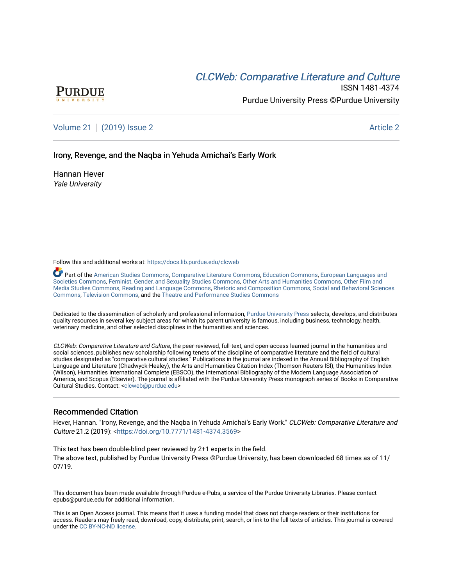# **CLCW[eb: Comparative Liter](https://docs.lib.purdue.edu/clcweb)ature and Culture**



ISSN 1481-4374 Purdue University Press ©Purdue University

[Volume 21](https://docs.lib.purdue.edu/clcweb/vol21) | [\(2019\) Issue 2](https://docs.lib.purdue.edu/clcweb/vol21/iss2) Article 2

Irony, Revenge, and the Nagba in Yehuda Amichai's Early Work

Hannan Hever Yale University

Follow this and additional works at: [https://docs.lib.purdue.edu/clcweb](https://docs.lib.purdue.edu/clcweb?utm_source=docs.lib.purdue.edu%2Fclcweb%2Fvol21%2Fiss2%2F2&utm_medium=PDF&utm_campaign=PDFCoverPages)

Part of the [American Studies Commons](http://network.bepress.com/hgg/discipline/439?utm_source=docs.lib.purdue.edu%2Fclcweb%2Fvol21%2Fiss2%2F2&utm_medium=PDF&utm_campaign=PDFCoverPages), [Comparative Literature Commons,](http://network.bepress.com/hgg/discipline/454?utm_source=docs.lib.purdue.edu%2Fclcweb%2Fvol21%2Fiss2%2F2&utm_medium=PDF&utm_campaign=PDFCoverPages) [Education Commons,](http://network.bepress.com/hgg/discipline/784?utm_source=docs.lib.purdue.edu%2Fclcweb%2Fvol21%2Fiss2%2F2&utm_medium=PDF&utm_campaign=PDFCoverPages) [European Languages and](http://network.bepress.com/hgg/discipline/482?utm_source=docs.lib.purdue.edu%2Fclcweb%2Fvol21%2Fiss2%2F2&utm_medium=PDF&utm_campaign=PDFCoverPages) [Societies Commons](http://network.bepress.com/hgg/discipline/482?utm_source=docs.lib.purdue.edu%2Fclcweb%2Fvol21%2Fiss2%2F2&utm_medium=PDF&utm_campaign=PDFCoverPages), [Feminist, Gender, and Sexuality Studies Commons,](http://network.bepress.com/hgg/discipline/559?utm_source=docs.lib.purdue.edu%2Fclcweb%2Fvol21%2Fiss2%2F2&utm_medium=PDF&utm_campaign=PDFCoverPages) [Other Arts and Humanities Commons](http://network.bepress.com/hgg/discipline/577?utm_source=docs.lib.purdue.edu%2Fclcweb%2Fvol21%2Fiss2%2F2&utm_medium=PDF&utm_campaign=PDFCoverPages), [Other Film and](http://network.bepress.com/hgg/discipline/565?utm_source=docs.lib.purdue.edu%2Fclcweb%2Fvol21%2Fiss2%2F2&utm_medium=PDF&utm_campaign=PDFCoverPages)  [Media Studies Commons](http://network.bepress.com/hgg/discipline/565?utm_source=docs.lib.purdue.edu%2Fclcweb%2Fvol21%2Fiss2%2F2&utm_medium=PDF&utm_campaign=PDFCoverPages), [Reading and Language Commons](http://network.bepress.com/hgg/discipline/1037?utm_source=docs.lib.purdue.edu%2Fclcweb%2Fvol21%2Fiss2%2F2&utm_medium=PDF&utm_campaign=PDFCoverPages), [Rhetoric and Composition Commons,](http://network.bepress.com/hgg/discipline/573?utm_source=docs.lib.purdue.edu%2Fclcweb%2Fvol21%2Fiss2%2F2&utm_medium=PDF&utm_campaign=PDFCoverPages) [Social and Behavioral Sciences](http://network.bepress.com/hgg/discipline/316?utm_source=docs.lib.purdue.edu%2Fclcweb%2Fvol21%2Fiss2%2F2&utm_medium=PDF&utm_campaign=PDFCoverPages) [Commons,](http://network.bepress.com/hgg/discipline/316?utm_source=docs.lib.purdue.edu%2Fclcweb%2Fvol21%2Fiss2%2F2&utm_medium=PDF&utm_campaign=PDFCoverPages) [Television Commons,](http://network.bepress.com/hgg/discipline/1143?utm_source=docs.lib.purdue.edu%2Fclcweb%2Fvol21%2Fiss2%2F2&utm_medium=PDF&utm_campaign=PDFCoverPages) and the [Theatre and Performance Studies Commons](http://network.bepress.com/hgg/discipline/552?utm_source=docs.lib.purdue.edu%2Fclcweb%2Fvol21%2Fiss2%2F2&utm_medium=PDF&utm_campaign=PDFCoverPages)

Dedicated to the dissemination of scholarly and professional information, [Purdue University Press](http://www.thepress.purdue.edu/) selects, develops, and distributes quality resources in several key subject areas for which its parent university is famous, including business, technology, health, veterinary medicine, and other selected disciplines in the humanities and sciences.

CLCWeb: Comparative Literature and Culture, the peer-reviewed, full-text, and open-access learned journal in the humanities and social sciences, publishes new scholarship following tenets of the discipline of comparative literature and the field of cultural studies designated as "comparative cultural studies." Publications in the journal are indexed in the Annual Bibliography of English Language and Literature (Chadwyck-Healey), the Arts and Humanities Citation Index (Thomson Reuters ISI), the Humanities Index (Wilson), Humanities International Complete (EBSCO), the International Bibliography of the Modern Language Association of America, and Scopus (Elsevier). The journal is affiliated with the Purdue University Press monograph series of Books in Comparative Cultural Studies. Contact: [<clcweb@purdue.edu](mailto:clcweb@purdue.edu)>

### Recommended Citation

Hever, Hannan. "Irony, Revenge, and the Naqba in Yehuda Amichai's Early Work." CLCWeb: Comparative Literature and Culture 21.2 (2019): <[https://doi.org/10.7771/1481-4374.3569>](https://doi.org/10.7771/1481-4374.3569)

This text has been double-blind peer reviewed by 2+1 experts in the field. The above text, published by Purdue University Press ©Purdue University, has been downloaded 68 times as of 11/ 07/19.

This document has been made available through Purdue e-Pubs, a service of the Purdue University Libraries. Please contact epubs@purdue.edu for additional information.

This is an Open Access journal. This means that it uses a funding model that does not charge readers or their institutions for access. Readers may freely read, download, copy, distribute, print, search, or link to the full texts of articles. This journal is covered under the [CC BY-NC-ND license.](https://creativecommons.org/licenses/by-nc-nd/4.0/)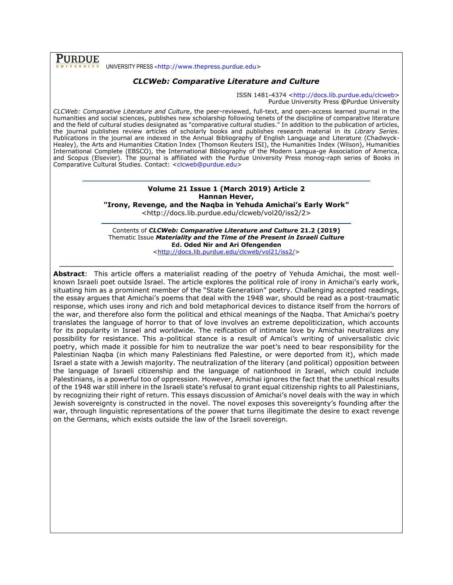**PURDUE** UNIVERSITY PRESS <[http://www.thepress.purdue.edu>](http://www.thepress.purdue.edu/)

### *CLCWeb: Comparative Literature and Culture*

ISSN 1481-4374 [<http://docs.lib.purdue.edu/clcweb>](http://docs.lib.purdue.edu/clcweb) Purdue University Press **©**Purdue University

*CLCWeb: Comparative Literature and Culture*, the peer-reviewed, full-text, and open-access learned journal in the humanities and social sciences, publishes new scholarship following tenets of the discipline of comparative literature and the field of cultural studies designated as "comparative cultural studies." In addition to the publication of articles, the journal publishes review articles of scholarly books and publishes research material in its *Library Series.*  Publications in the journal are indexed in the Annual Bibliography of English Language and Literature (Chadwyck-Healey), the Arts and Humanities Citation Index (Thomson Reuters ISI), the Humanities Index (Wilson), Humanities International Complete (EBSCO), the International Bibliography of the Modern Langua-ge Association of America, and Scopus (Elsevier). The journal is affiliated with the Purdue University Press monog-raph series of Books in Comparative Cultural Studies. Contact: [<clcweb@purdue.edu>](mailto:clcweb@purdue.edu)

## **Volume 21 Issue 1 (March 2019) Article 2 Hannan Hever,**

**"Irony, Revenge, and the Naqba in Yehuda Amichai's Early Work"**

<http://docs.lib.purdue.edu/clcweb/vol20/iss2/2>

Contents of *CLCWeb: Comparative Literature and Culture* **21.2 (2019)** Thematic Issue *Materiality and the Time of the Present in Israeli Culture* **Ed. Oded Nir and Ari Ofengenden**

[<http://docs.lib.purdue.edu/clcweb/vol21/iss2/>](http://docs.lib.purdue.edu/clcweb/vol21/iss2/)

**Abstract**: This article offers a materialist reading of the poetry of Yehuda Amichai, the most wellknown Israeli poet outside Israel. The article explores the political role of irony in Amichai's early work, situating him as a prominent member of the "State Generation" poetry. Challenging accepted readings, the essay argues that Amichai's poems that deal with the 1948 war, should be read as a post-traumatic response, which uses irony and rich and bold metaphorical devices to distance itself from the horrors of the war, and therefore also form the political and ethical meanings of the Naqba. That Amichai's poetry translates the language of horror to that of love involves an extreme depoliticization, which accounts for its popularity in Israel and worldwide. The reification of intimate love by Amichai neutralizes any possibility for resistance. This a-political stance is a result of Amicai's writing of universalistic civic poetry, which made it possible for him to neutralize the war poet's need to bear responsibility for the Palestinian Naqba (in which many Palestinians fled Palestine, or were deported from it), which made Israel a state with a Jewish majority. The neutralization of the literary (and political) opposition between the language of Israeli citizenship and the language of nationhood in Israel, which could include Palestinians, is a powerful too of oppression. However, Amichai ignores the fact that the unethical results of the 1948 war still inhere in the Israeli state's refusal to grant equal citizenship rights to all Palestinians, by recognizing their right of return. This essays discussion of Amichai's novel deals with the way in which Jewish sovereignty is constructed in the novel. The novel exposes this sovereignty's founding after the war, through linguistic representations of the power that turns illegitimate the desire to exact revenge on the Germans, which exists outside the law of the Israeli sovereign.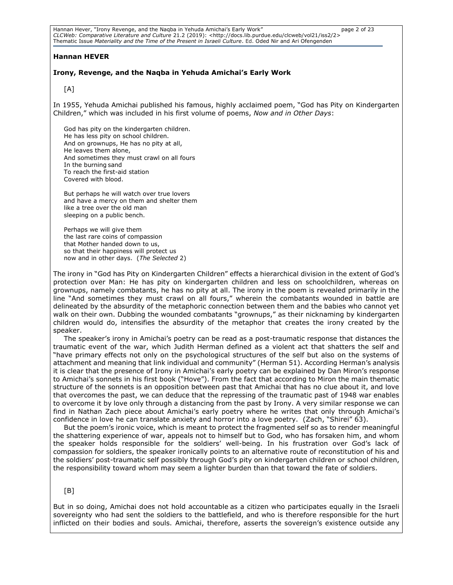Hannan Hever, "Irony Revenge, and the Naqba in Yehuda Amichai's Early Work" page 2 of 23 *CLCWeb: Comparative Literature and Culture* 21.2 (2019): <http://docs.lib.purdue.edu/clcweb/vol21/iss2/2> Thematic Issue *Materiality and the Time of the Present in Israeli Culture*. Ed. Oded Nir and Ari Ofengenden

### **Hannan HEVER**

### **Irony, Revenge, and the Naqba in Yehuda Amichai's Early Work**

[A]

In 1955, Yehuda Amichai published his famous, highly acclaimed poem, "God has Pity on Kindergarten Children," which was included in his first volume of poems, *Now and in Other Days*:

God has pity on the kindergarten children. He has less pity on school children. And on grownups, He has no pity at all, He leaves them alone, And sometimes they must crawl on all fours In the burning sand To reach the first-aid station Covered with blood.

But perhaps he will watch over true lovers and have a mercy on them and shelter them like a tree over the old man sleeping on a public bench.

Perhaps we will give them the last rare coins of compassion that Mother handed down to us, so that their happiness will protect us now and in other days. (*The Selected* 2)

The irony in "God has Pity on Kindergarten Children" effects a hierarchical division in the extent of God's protection over Man: He has pity on kindergarten children and less on schoolchildren, whereas on grownups, namely combatants, he has no pity at all. The irony in the poem is revealed primarily in the line "And sometimes they must crawl on all fours," wherein the combatants wounded in battle are delineated by the absurdity of the metaphoric connection between them and the babies who cannot yet walk on their own. Dubbing the wounded combatants "grownups," as their nicknaming by kindergarten children would do, intensifies the absurdity of the metaphor that creates the irony created by the speaker.

The speaker's irony in Amichai's poetry can be read as a post-traumatic response that distances the traumatic event of the war, which Judith Herman defined as a violent act that shatters the self and "have primary effects not only on the psychological structures of the self but also on the systems of attachment and meaning that link individual and community" (Herman 51). According Herman's analysis it is clear that the presence of Irony in Amichai's early poetry can be explained by Dan Miron's response to Amichai's sonnets in his first book ("Hove"). From the fact that according to Miron the main thematic structure of the sonnets is an opposition between past that Amichai that has no clue about it, and love that overcomes the past, we can deduce that the repressing of the traumatic past of 1948 war enables to overcome it by love only through a distancing from the past by Irony. A very similar response we can find in Nathan Zach piece about Amichai's early poetry where he writes that only through Amichai's confidence in love he can translate anxiety and horror into a love poetry. (Zach, "Shirei" 63).

But the poem's ironic voice, which is meant to protect the fragmented self so as to render meaningful the shattering experience of war, appeals not to himself but to God, who has forsaken him, and whom the speaker holds responsible for the soldiers' well-being. In his frustration over God's lack of compassion for soldiers, the speaker ironically points to an alternative route of reconstitution of his and the soldiers' post-traumatic self possibly through God's pity on kindergarten children or school children, the responsibility toward whom may seem a lighter burden than that toward the fate of soldiers.

### [B]

But in so doing, Amichai does not hold accountable as a citizen who participates equally in the Israeli sovereignty who had sent the soldiers to the battlefield, and who is therefore responsible for the hurt inflicted on their bodies and souls. Amichai, therefore, asserts the sovereign's existence outside any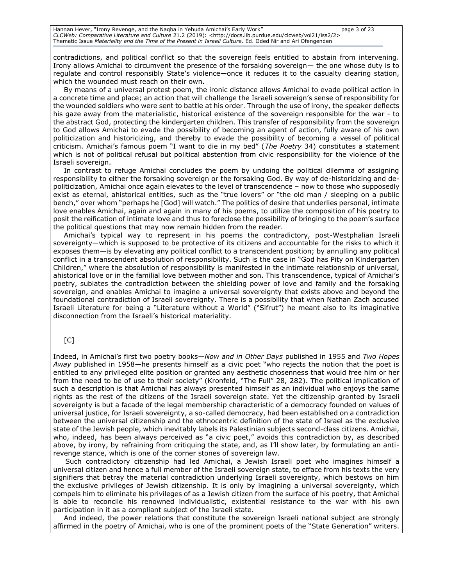Hannan Hever, "Irony Revenge, and the Naqba in Yehuda Amichai's Early Work" page 3 of 23 *CLCWeb: Comparative Literature and Culture* 21.2 (2019): <http://docs.lib.purdue.edu/clcweb/vol21/iss2/2> Thematic Issue *Materiality and the Time of the Present in Israeli Culture*. Ed. Oded Nir and Ari Ofengenden

contradictions, and political conflict so that the sovereign feels entitled to abstain from intervening. Irony allows Amichai to circumvent the presence of the forsaking sovereign— the one whose duty is to regulate and control responsibly State's violence—once it reduces it to the casualty clearing station, which the wounded must reach on their own.

By means of a universal protest poem, the ironic distance allows Amichai to evade political action in a concrete time and place; an action that will challenge the Israeli sovereign's sense of responsibility for the wounded soldiers who were sent to battle at his order. Through the use of irony, the speaker deflects his gaze away from the materialistic, historical existence of the sovereign responsible for the war - to the abstract God, protecting the kindergarten children. This transfer of responsibility from the sovereign to God allows Amichai to evade the possibility of becoming an agent of action, fully aware of his own politicization and historicizing, and thereby to evade the possibility of becoming a vessel of political criticism. Amichai's famous poem "I want to die in my bed" (*The Poetry* 34) constitutes a statement which is not of political refusal but political abstention from civic responsibility for the violence of the Israeli sovereign.

In contrast to refuge Amichai concludes the poem by undoing the political dilemma of assigning responsibility to either the forsaking sovereign or the forsaking God. By way of de-historicizing and depoliticization, Amichai once again elevates to the level of transcendence – now to those who supposedly exist as eternal, ahistorical entities, such as the "true lovers" or "the old man / sleeping on a public bench," over whom "perhaps he [God] will watch." The politics of desire that underlies personal, intimate love enables Amichai, again and again in many of his poems, to utilize the composition of his poetry to posit the reification of intimate love and thus to foreclose the possibility of bringing to the poem's surface the political questions that may now remain hidden from the reader.

Amichai's typical way to represent in his poems the contradictory, post-Westphalian Israeli sovereignty—which is supposed to be protective of its citizens and accountable for the risks to which it exposes them—is by elevating any political conflict to a transcendent position; by annulling any political conflict in a transcendent absolution of responsibility. Such is the case in "God has Pity on Kindergarten Children," where the absolution of responsibility is manifested in the intimate relationship of universal, ahistorical love or in the familial love between mother and son. This transcendence, typical of Amichai's poetry, sublates the contradiction between the shielding power of love and family and the forsaking sovereign, and enables Amichai to imagine a universal sovereignty that exists above and beyond the foundational contradiction of Israeli sovereignty. There is a possibility that when Nathan Zach accused Israeli Literature for being a "Literature without a World" ("Sifrut") he meant also to its imaginative disconnection from the Israeli's historical materiality.

### $[CI]$

Indeed, in Amichai's first two poetry books—*Now and in Other Days* published in 1955 and *Two Hopes Away* published in 1958—he presents himself as a civic poet "who rejects the notion that the poet is entitled to any privileged elite position or granted any aesthetic chosenness that would free him or her from the need to be of use to their society" (Kronfeld, "The Full" 28, 282). The political implication of such a description is that Amichai has always presented himself as an individual who enjoys the same rights as the rest of the citizens of the Israeli sovereign state. Yet the citizenship granted by Israeli sovereignty is but a facade of the legal membership characteristic of a democracy founded on values of universal justice, for Israeli sovereignty, a so-called democracy, had been established on a contradiction between the universal citizenship and the ethnocentric definition of the state of Israel as the exclusive state of the Jewish people, which inevitably labels its Palestinian subjects second-class citizens. Amichai, who, indeed, has been always perceived as "a civic poet," avoids this contradiction by, as described above, by irony, by refraining from critiquing the state, and, as I'll show later, by formulating an antirevenge stance, which is one of the corner stones of sovereign law.

Such contradictory citizenship had led Amichai, a Jewish Israeli poet who imagines himself a universal citizen and hence a full member of the Israeli sovereign state, to efface from his texts the very signifiers that betray the material contradiction underlying Israeli sovereignty, which bestows on him the exclusive privileges of Jewish citizenship. It is only by imagining a universal sovereignty, which compels him to eliminate his privileges of as a Jewish citizen from the surface of his poetry, that Amichai is able to reconcile his renowned individualistic, existential resistance to the war with his own participation in it as a compliant subject of the Israeli state.

And indeed, the power relations that constitute the sovereign Israeli national subject are strongly affirmed in the poetry of Amichai, who is one of the prominent poets of the "State Generation" writers.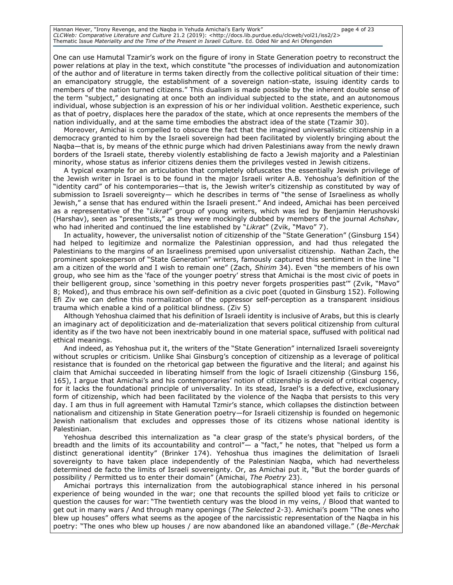Hannan Hever, "Irony Revenge, and the Naqba in Yehuda Amichai's Early Work" page 4 of 23 *CLCWeb: Comparative Literature and Culture* 21.2 (2019): <http://docs.lib.purdue.edu/clcweb/vol21/iss2/2> Thematic Issue *Materiality and the Time of the Present in Israeli Culture*. Ed. Oded Nir and Ari Ofengenden

One can use Hamutal Tzamir's work on the figure of irony in State Generation poetry to reconstruct the power relations at play in the text, which constitute "the processes of individuation and autonomization of the author and of literature in terms taken directly from the collective political situation of their time: an emancipatory struggle, the establishment of a sovereign nation-state, issuing identity cards to members of the nation turned citizens." This dualism is made possible by the inherent double sense of the term "subject," designating at once both an individual subjected to the state, and an autonomous individual, whose subjection is an expression of his or her individual volition. Aesthetic experience, such as that of poetry, displaces here the paradox of the state, which at once represents the members of the nation individually, and at the same time embodies the abstract idea of the state (Tzamir 30).

Moreover, Amichai is compelled to obscure the fact that the imagined universalistic citizenship in a democracy granted to him by the Israeli sovereign had been facilitated by violently bringing about the Naqba—that is, by means of the ethnic purge which had driven Palestinians away from the newly drawn borders of the Israeli state, thereby violently establishing de facto a Jewish majority and a Palestinian minority, whose status as inferior citizens denies them the privileges vested in Jewish citizens.

A typical example for an articulation that completely obfuscates the essentially Jewish privilege of the Jewish writer in Israel is to be found in the major Israeli writer A.B. Yehoshua's definition of the "identity card" of his contemporaries—that is, the Jewish writer's citizenship as constituted by way of submission to Israeli sovereignty— which he describes in terms of "the sense of Israeliness as wholly Jewish," a sense that has endured within the Israeli present." And indeed, Amichai has been perceived as a representative of the "*Likrat*" group of young writers, which was led by Benjamin Herushovski (Harshav), seen as "presentists," as they were mockingly dubbed by members of the journal *Achshav*, who had inherited and continued the line established by "*Likrat*" (Zvik, "Mavo" 7).

In actuality, however, the universalist notion of citizenship of the "State Generation" (Ginsburg 154) had helped to legitimize and normalize the Palestinian oppression, and had thus relegated the Palestinians to the margins of an Israeliness premised upon universalist citizenship. Nathan Zach, the prominent spokesperson of "State Generation" writers, famously captured this sentiment in the line "I am a citizen of the world and I wish to remain one" (Zach, *Shirim* 34). Even "the members of his own group, who see him as the 'face of the younger poetry' stress that Amichai is the most civic of poets in their belligerent group, since 'something in this poetry never forgets prosperities past'" (Zvik, "Mavo" 8; Moked), and thus embrace his own self-definition as a civic poet (quoted in Ginsburg 152). Following Efi Ziv we can define this normalization of the oppressor self-perception as a transparent insidious trauma which enable a kind of a political blindness. (Ziv 5)

Although Yehoshua claimed that his definition of Israeli identity is inclusive of Arabs, but this is clearly an imaginary act of depoliticization and de-materialization that severs political citizenship from cultural identity as if the two have not been inextricably bound in one material space, suffused with political nad ethical meanings.

And indeed, as Yehoshua put it, the writers of the "State Generation" internalized Israeli sovereignty without scruples or criticism. Unlike Shai Ginsburg's conception of citizenship as a leverage of political resistance that is founded on the rhetorical gap between the figurative and the literal; and against his claim that Amichai succeeded in liberating himself from the logic of Israeli citizenship (Ginsburg 156, 165), I argue that Amichai's and his contemporaries' notion of citizenship is devoid of critical cogency, for it lacks the foundational principle of universality. In its stead, Israel's is a defective, exclusionary form of citizenship, which had been facilitated by the violence of the Naqba that persists to this very day. I am thus in full agreement with Hamutal Tzmir's stance, which collapses the distinction between nationalism and citizenship in State Generation poetry—for Israeli citizenship is founded on hegemonic Jewish nationalism that excludes and oppresses those of its citizens whose national identity is Palestinian.

Yehoshua described this internalization as "a clear grasp of the state's physical borders, of the breadth and the limits of its accountability and control"— a "fact," he notes, that "helped us form a distinct generational identity" (Brinker 174). Yehoshua thus imagines the delimitation of Israeli sovereignty to have taken place independently of the Palestinian Naqba, which had nevertheless determined de facto the limits of Israeli sovereignty. Or, as Amichai put it, "But the border guards of possibility / Permitted us to enter their domain" (Amichai, *The Poetry* 23).

Amichai portrays this internalization from the autobiographical stance inhered in his personal experience of being wounded in the war; one that recounts the spilled blood yet fails to criticize or question the causes for war: "The twentieth century was the blood in my veins, / Blood that wanted to get out in many wars / And through many openings (*The Selected* 2-3). Amichai's poem "The ones who blew up houses" offers what seems as the apogee of the narcissistic representation of the Naqba in his poetry: "The ones who blew up houses / are now abandoned like an abandoned village." (*Be-Merchak*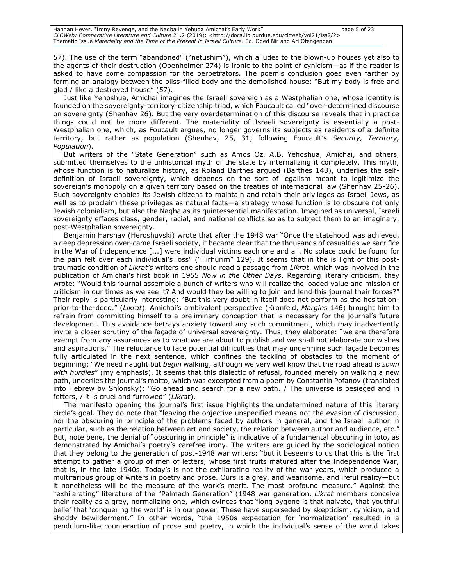57). The use of the term "abandoned" ("netushim"), which alludes to the blown-up houses yet also to the agents of their destruction (Openheimer 274) is ironic to the point of cynicism—as if the reader is asked to have some compassion for the perpetrators. The poem's conclusion goes even farther by forming an analogy between the bliss-filled body and the demolished house: "But my body is free and glad / like a destroyed house" (57).

Just like Yehoshua, Amichai imagines the Israeli sovereign as a Westphalian one, whose identity is founded on the sovereignty-territory-citizenship triad, which Foucault called "over-determined discourse on sovereignty (Shenhav 26). But the very overdetermination of this discourse reveals that in practice things could not be more different. The materiality of Israeli sovereignty is essentially a post-Westphalian one, which, as Foucault argues, no longer governs its subjects as residents of a definite territory, but rather as population (Shenhav, 25, 31; following Foucault's *Security, Territory, Population*).

But writers of the "State Generation" such as Amos Oz, A.B. Yehoshua, Amichai, and others, submitted themselves to the unhistorical myth of the state by internalizing it completely. This myth, whose function is to naturalize history, as Roland Barthes argued (Barthes 143), underlies the selfdefinition of Israeli sovereignty, which depends on the sort of legalism meant to legitimize the sovereign's monopoly on a given territory based on the treaties of international law (Shenhav 25-26). Such sovereignty enables its Jewish citizens to maintain and retain their privileges as Israeli Jews, as well as to proclaim these privileges as natural facts—a strategy whose function is to obscure not only Jewish colonialism, but also the Naqba as its quintessential manifestation. Imagined as universal, Israeli sovereignty effaces class, gender, racial, and national conflicts so as to subject them to an imaginary, post-Westphalian sovereignty.

Benjamin Harshav (Heroshuvski) wrote that after the 1948 war "Once the statehood was achieved, a deep depression over-came Israeli society, it became clear that the thousands of casualties we sacrifice in the War of Independence [...] were individual victims each one and all. No solace could be found for the pain felt over each individual's loss" ("Hirhurim" 129). It seems that in the is light of this posttraumatic condition of *Likrat's* writers one should read a passage from *Likrat*, which was involved in the publication of Amichai's first book in 1955 *Now in the Other Days*. Regarding literary criticism, they wrote: "Would this journal assemble a bunch of writers who will realize the loaded value and mission of criticism in our times as we see it? And would they be willing to join and lend this journal their forces?" Their reply is particularly interesting: "But this very doubt in itself does not perform as the hesitationprior-to-the-deed." (*Likrat*). Amichai's ambivalent perspective (Kronfeld, *Margins* 146) brought him to refrain from committing himself to a preliminary conception that is necessary for the journal's future development. This avoidance betrays anxiety toward any such commitment, which may inadvertently invite a closer scrutiny of the façade of universal sovereignty. Thus, they elaborate: "we are therefore exempt from any assurances as to what we are about to publish and we shall not elaborate our wishes and aspirations." The reluctance to face potential difficulties that may undermine such façade becomes fully articulated in the next sentence, which confines the tackling of obstacles to the moment of beginning: "We need naught but *begin* walking, although we very well know that the road ahead is *sown with hurdles*" (my emphasis). It seems that this dialectic of refusal, founded merely on walking a new path, underlies the journal's motto, which was excerpted from a poem by Constantin Pofanov (translated into Hebrew by Shlonsky): "Go ahead and search for a new path. / The universe is besieged and in fetters, / it is cruel and furrowed" (*Likrat*).

The manifesto opening the journal's first issue highlights the undetermined nature of this literary circle's goal. They do note that "leaving the objective unspecified means not the evasion of discussion, nor the obscuring in principle of the problems faced by authors in general, and the Israeli author in particular, such as the relation between art and society, the relation between author and audience, etc." But, note bene, the denial of "obscuring in principle" is indicative of a fundamental obscuring in toto, as demonstrated by Amichai's poetry's carefree irony. The writers are guided by the sociological notion that they belong to the generation of post-1948 war writers: "but it beseems to us that this is the first attempt to gather a group of men of letters, whose first fruits matured after the Independence War, that is, in the late 1940s. Today's is not the exhilarating reality of the war years, which produced a multifarious group of writers in poetry and prose. Ours is a grey, and wearisome, and ireful reality—but it nonetheless will be the measure of the work's merit. The most profound measure." Against the "exhilarating" literature of the "Palmach Generation" (1948 war generation, *Likrat* members conceive their reality as a grey, normalizing one, which evinces that "long bygone is that naivete, that youthful belief that 'conquering the world' is in our power. These have superseded by skepticism, cynicism, and shoddy bewilderment." In other words, "the 1950s expectation for 'normalization' resulted in a pendulum-like counteraction of prose and poetry, in which the individual's sense of the world takes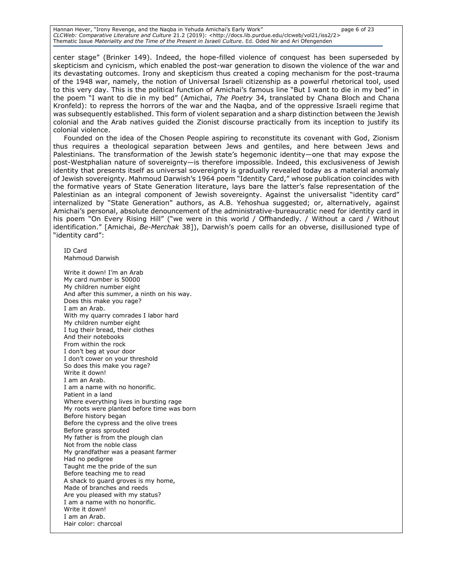Hannan Hever, "Irony Revenge, and the Naqba in Yehuda Amichai's Early Work" page 6 of 23 *CLCWeb: Comparative Literature and Culture* 21.2 (2019): <http://docs.lib.purdue.edu/clcweb/vol21/iss2/2> Thematic Issue *Materiality and the Time of the Present in Israeli Culture*. Ed. Oded Nir and Ari Ofengenden

center stage" (Brinker 149). Indeed, the hope-filled violence of conquest has been superseded by skepticism and cynicism, which enabled the post-war generation to disown the violence of the war and its devastating outcomes. Irony and skepticism thus created a coping mechanism for the post-trauma of the 1948 war, namely, the notion of Universal Israeli citizenship as a powerful rhetorical tool, used to this very day. This is the political function of Amichai's famous line "But I want to die in my bed" in the poem "I want to die in my bed" (Amichai, *The Poetry* 34, translated by Chana Bloch and Chana Kronfeld): to repress the horrors of the war and the Naqba, and of the oppressive Israeli regime that was subsequently established. This form of violent separation and a sharp distinction between the Jewish colonial and the Arab natives guided the Zionist discourse practically from its inception to justify its colonial violence.

Founded on the idea of the Chosen People aspiring to reconstitute its covenant with God, Zionism thus requires a theological separation between Jews and gentiles, and here between Jews and Palestinians. The transformation of the Jewish state's hegemonic identity—one that may expose the post-Westphalian nature of sovereignty—is therefore impossible. Indeed, this exclusiveness of Jewish identity that presents itself as universal sovereignty is gradually revealed today as a material anomaly of Jewish sovereignty. Mahmoud Darwish's 1964 poem "Identity Card," whose publication coincides with the formative years of State Generation literature, lays bare the latter's false representation of the Palestinian as an integral component of Jewish sovereignty. Against the universalist "identity card" internalized by "State Generation" authors, as A.B. Yehoshua suggested; or, alternatively, against Amichai's personal, absolute denouncement of the administrative-bureaucratic need for identity card in his poem "On Every Rising Hill" ("we were in this world / Offhandedly. / Without a card / Without identification." [Amichai, *Be-Merchak* 38]), Darwish's poem calls for an obverse, disillusioned type of "identity card":

ID Card Mahmoud Darwish

Write it down! I'm an Arab My card number is 50000 My children number eight And after this summer, a ninth on his way. Does this make you rage? I am an Arab. With my quarry comrades I labor hard My children number eight I tug their bread, their clothes And their notebooks From within the rock I don't beg at your door I don't cower on your threshold So does this make you rage? Write it down! I am an Arab. I am a name with no honorific. Patient in a land Where everything lives in bursting rage My roots were planted before time was born Before history began Before the cypress and the olive trees Before grass sprouted My father is from the plough clan Not from the noble class My grandfather was a peasant farmer Had no pedigree Taught me the pride of the sun Before teaching me to read A shack to guard groves is my home, Made of branches and reeds Are you pleased with my status? I am a name with no honorific. Write it down! I am an Arab. Hair color: charcoal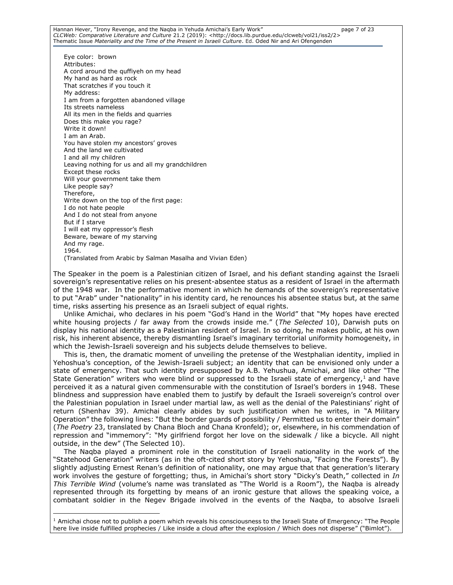Hannan Hever, "Irony Revenge, and the Naqba in Yehuda Amichai's Early Work" page 7 of 23 *CLCWeb: Comparative Literature and Culture* 21.2 (2019): <http://docs.lib.purdue.edu/clcweb/vol21/iss2/2> Thematic Issue *Materiality and the Time of the Present in Israeli Culture*. Ed. Oded Nir and Ari Ofengenden

Eye color: brown Attributes: A cord around the quffiyeh on my head My hand as hard as rock That scratches if you touch it My address: I am from a forgotten abandoned village Its streets nameless All its men in the fields and quarries Does this make you rage? Write it down! I am an Arab. You have stolen my ancestors' groves And the land we cultivated I and all my children Leaving nothing for us and all my grandchildren Except these rocks Will your government take them Like people say? Therefore, Write down on the top of the first page: I do not hate people And I do not steal from anyone But if I starve I will eat my oppressor's flesh Beware, beware of my starving And my rage. 1964. (Translated from Arabic by Salman Masalha and Vivian Eden)

The Speaker in the poem is a Palestinian citizen of Israel, and his defiant standing against the Israeli sovereign's representative relies on his present-absentee status as a resident of Israel in the aftermath of the 1948 war. In the performative moment in which he demands of the sovereign's representative to put "Arab" under "nationality" in his identity card, he renounces his absentee status but, at the same time, risks asserting his presence as an Israeli subject of equal rights.

Unlike Amichai, who declares in his poem "God's Hand in the World" that "My hopes have erected white housing projects / far away from the crowds inside me." (*The Selected* 10), Darwish puts on display his national identity as a Palestinian resident of Israel. In so doing, he makes public, at his own risk, his inherent absence, thereby dismantling Israel's imaginary territorial uniformity homogeneity, in which the Jewish-Israeli sovereign and his subjects delude themselves to believe.

This is, then, the dramatic moment of unveiling the pretense of the Westphalian identity, implied in Yehoshua's conception, of the Jewish-Israeli subject; an identity that can be envisioned only under a state of emergency. That such identity presupposed by A.B. Yehushua, Amichai, and like other "The State Generation" writers who were blind or suppressed to the Israeli state of emergency,  $1$  and have perceived it as a natural given commensurable with the constitution of Israel's borders in 1948. These blindness and suppression have enabled them to justify by default the Israeli sovereign's control over the Palestinian population in Israel under martial law, as well as the denial of the Palestinians' right of return (Shenhav 39). Amichai clearly abides by such justification when he writes, in "A Military Operation" the following lines: "But the border guards of possibility / Permitted us to enter their domain" (*The Poetry* 23, translated by Chana Bloch and Chana Kronfeld); or, elsewhere, in his commendation of repression and "immemory": "My girlfriend forgot her love on the sidewalk / like a bicycle. All night outside, in the dew" (The Selected 10).

The Naqba played a prominent role in the constitution of Israeli nationality in the work of the "Statehood Generation" writers (as in the oft-cited short story by Yehoshua, "Facing the Forests"). By slightly adjusting Ernest Renan's definition of nationality, one may argue that that generation's literary work involves the gesture of forgetting; thus, in Amichai's short story "Dicky's Death," collected in *In This Terrible Wind* (volume's name was translated as "The World is a Room"), the Naqba is already represented through its forgetting by means of an ironic gesture that allows the speaking voice, a combatant soldier in the Negev Brigade involved in the events of the Naqba, to absolve Israeli

 $\overline{a}$  $1$  Amichai chose not to publish a poem which reveals his consciousness to the Israeli State of Emergency: "The People here live inside fulfilled prophecies / Like inside a cloud after the explosion / Which does not disperse" ("Bimlot").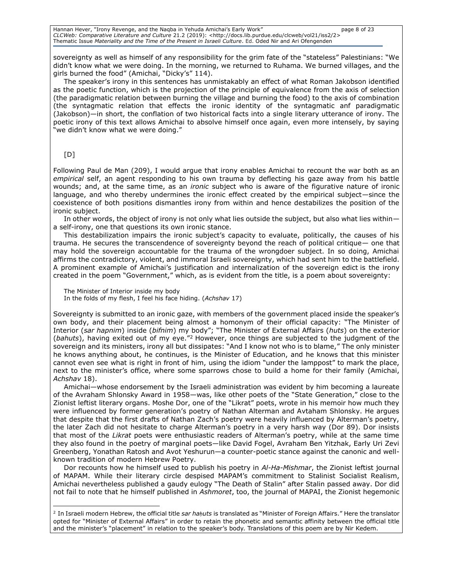Hannan Hever, "Irony Revenge, and the Naqba in Yehuda Amichai's Early Work" page 8 of 23 *CLCWeb: Comparative Literature and Culture* 21.2 (2019): <http://docs.lib.purdue.edu/clcweb/vol21/iss2/2> Thematic Issue *Materiality and the Time of the Present in Israeli Culture*. Ed. Oded Nir and Ari Ofengenden

sovereignty as well as himself of any responsibility for the grim fate of the "stateless" Palestinians: "We didn't know what we were doing. In the morning, we returned to Ruhama. We burned villages, and the girls burned the food" (Amichai, "Dicky's" 114).

The speaker's irony in this sentences has unmistakably an effect of what Roman Jakobson identified as the poetic function, which is the projection of the principle of equivalence from the axis of selection (the paradigmatic relation between burning the village and burning the food) to the axis of combination (the syntagmatic relation that effects the ironic identity of the syntagmatic anf paradigmatic (Jakobson)—in short, the conflation of two historical facts into a single literary utterance of irony. The poetic irony of this text allows Amichai to absolve himself once again, even more intensely, by saying "we didn't know what we were doing."

### [D]

Following Paul de Man (209), I would argue that irony enables Amichai to recount the war both as an *empirical* self, an agent responding to his own trauma by deflecting his gaze away from his battle wounds; and, at the same time, as an *ironic* subject who is aware of the figurative nature of ironic language, and who thereby undermines the ironic effect created by the empirical subject—since the coexistence of both positions dismantles irony from within and hence destabilizes the position of the ironic subject.

In other words, the object of irony is not only what lies outside the subject, but also what lies within a self-irony, one that questions its own ironic stance.

This destabilization impairs the ironic subject's capacity to evaluate, politically, the causes of his trauma. He secures the transcendence of sovereignty beyond the reach of political critique— one that may hold the sovereign accountable for the trauma of the wrongdoer subject. In so doing, Amichai affirms the contradictory, violent, and immoral Israeli sovereignty, which had sent him to the battlefield. A prominent example of Amichai's justification and internalization of the sovereign edict is the irony created in the poem "Government," which, as is evident from the title, is a poem about sovereignty:

The Minister of Interior inside my body In the folds of my flesh, I feel his face hiding. (*Achshav* 17)

Sovereignty is submitted to an ironic gaze, with members of the government placed inside the speaker's own body, and their placement being almost a homonym of their official capacity: "The Minister of Interior (*sar hapnim*) inside (*bifnim*) my body"; "The Minister of External Affairs (*huts*) on the exterior (*bahuts*), having exited out of my eye."<sup>2</sup> However, once things are subjected to the judgment of the sovereign and its ministers, irony all but dissipates: "And I know not who is to blame," The only minister he knows anything about, he continues, is the Minister of Education, and he knows that this minister cannot even see what is right in front of him, using the idiom "under the lamppost" to mark the place, next to the minister's office, where some sparrows chose to build a home for their family (Amichai, *Achshav* 18).

Amichai—whose endorsement by the Israeli administration was evident by him becoming a laureate of the Avraham Shlonsky Award in 1958—was, like other poets of the "State Generation," close to the Zionist leftist literary organs. Moshe Dor, one of the "Likrat" poets, wrote in his memoir how much they were influenced by former generation's poetry of Nathan Alterman and Avtaham Shlonsky. He argues that despite that the first drafts of Nathan Zach's poetry were heavily influenced by Alterman's poetry, the later Zach did not hesitate to charge Alterman's poetry in a very harsh way (Dor 89). Dor insists that most of the *Likrat* poets were enthusiastic readers of Alterman's poetry, while at the same time they also found in the poetry of marginal poets—like David Fogel, Avraham Ben Yitzhak, Early Uri Zevi Greenberg, Yonathan Ratosh and Avot Yeshurun—a counter-poetic stance against the canonic and wellknown tradition of modern Hebrew Poetry.

Dor recounts how he himself used to publish his poetry in *Al-Ha-Mishmar*, the Zionist leftist journal of MAPAM. While their literary circle despised MAPAM's commitment to Stalinist Socialist Realism, Amichai nevertheless published a gaudy eulogy "The Death of Stalin" after Stalin passed away. Dor did not fail to note that he himself published in *Ashmoret*, too, the journal of MAPAI, the Zionist hegemonic

 $\overline{a}$ 2 In Israeli modern Hebrew, the official title *sar haḥuts* is translated as "Minister of Foreign Affairs." Here the translator opted for "Minister of External Affairs" in order to retain the phonetic and semantic affinity between the official title and the minister's "placement" in relation to the speaker's body. Translations of this poem are by Nir Kedem.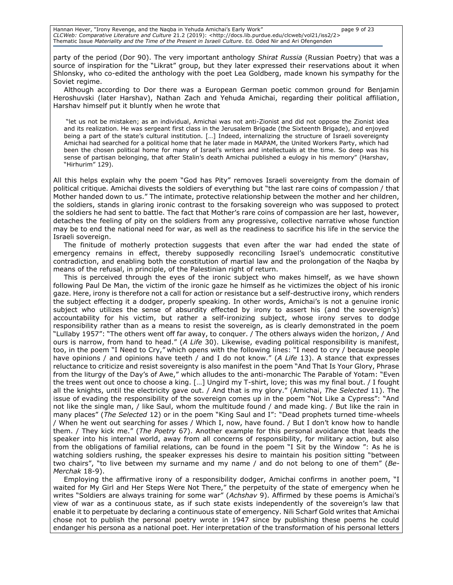Hannan Hever, "Irony Revenge, and the Naqba in Yehuda Amichai's Early Work" page 9 of 23 *CLCWeb: Comparative Literature and Culture* 21.2 (2019): <http://docs.lib.purdue.edu/clcweb/vol21/iss2/2> Thematic Issue *Materiality and the Time of the Present in Israeli Culture*. Ed. Oded Nir and Ari Ofengenden

party of the period (Dor 90). The very important anthology *Shirat Russia* (Russian Poetry) that was a source of inspiration for the "Likrat" group, but they later expressed their reservations about it when Shlonsky, who co-edited the anthology with the poet Lea Goldberg, made known his sympathy for the Soviet regime.

Although according to Dor there was a European German poetic common ground for Benjamin Heroshuvski (later Harshav), Nathan Zach and Yehuda Amichai, regarding their political affiliation, Harshav himself put it bluntly when he wrote that

"let us not be mistaken; as an individual, Amichai was not anti-Zionist and did not oppose the Zionist idea and its realization. He was sergeant first class in the Jerusalem Brigade (the Sixteenth Brigade), and enjoyed being a part of the state's cultural institution. […] Indeed, internalizing the structure of Israeli sovereignty Amichai had searched for a political home that he later made in MAPAM, the United Workers Party, which had been the chosen political home for many of Israel's writers and intellectuals at the time. So deep was his sense of partisan belonging, that after Stalin's death Amichai published a eulogy in his memory" (Harshav, "Hirhurim" 129).

All this helps explain why the poem "God has Pity" removes Israeli sovereignty from the domain of political critique. Amichai divests the soldiers of everything but "the last rare coins of compassion / that Mother handed down to us." The intimate, protective relationship between the mother and her children, the soldiers, stands in glaring ironic contrast to the forsaking sovereign who was supposed to protect the soldiers he had sent to battle. The fact that Mother's rare coins of compassion are her last, however, detaches the feeling of pity on the soldiers from any progressive, collective narrative whose function may be to end the national need for war, as well as the readiness to sacrifice his life in the service the Israeli sovereign.

The finitude of motherly protection suggests that even after the war had ended the state of emergency remains in effect, thereby supposedly reconciling Israel's undemocratic constitutive contradiction, and enabling both the constitution of martial law and the prolongation of the Naqba by means of the refusal, in principle, of the Palestinian right of return.

This is perceived through the eyes of the ironic subject who makes himself, as we have shown following Paul De Man, the victim of the ironic gaze he himself as he victimizes the object of his ironic gaze. Here, irony is therefore not a call for action or resistance but a self-destructive irony, which renders the subject effecting it a dodger, properly speaking. In other words, Amichai's is not a genuine ironic subject who utilizes the sense of absurdity effected by irony to assert his (and the sovereign's) accountability for his victim, but rather a self-ironizing subject, whose irony serves to dodge responsibility rather than as a means to resist the sovereign, as is clearly demonstrated in the poem "Lullaby 1957": "The others went off far away, to conquer. / The others always widen the horizon, / And ours is narrow, from hand to head." (*A Life* 30). Likewise, evading political responsibility is manifest, too, in the poem "I Need to Cry," which opens with the following lines: "I need to cry / because people have opinions / and opinions have teeth / and I do not know." (*A Life* 13). A stance that expresses reluctance to criticize and resist sovereignty is also manifest in the poem "And That Is Your Glory, Phrase from the liturgy of the Day's of Awe," which alludes to the anti-monarchic The Parable of Yotam: "Even the trees went out once to choose a king. […] Ungird my T-shirt, love; this was my final bout. / I fought all the knights, until the electricity gave out. / And that is my glory." (Amichai, *The Selected* 11). The issue of evading the responsibility of the sovereign comes up in the poem "Not Like a Cypress": "And not like the single man, / like Saul, whom the multitude found / and made king. / But like the rain in many places" (*The Selected* 12) or in the poem "King Saul and I": "Dead prophets turned time-wheels / When he went out searching for asses / Which I, now, have found. / But I don't know how to handle them. / They kick me." (*The Poetry* 67). Another example for this personal avoidance that leads the speaker into his internal world, away from all concerns of responsibility, for military action, but also from the obligations of familial relations, can be found in the poem "I Sit by the Window ": As he is watching soldiers rushing, the speaker expresses his desire to maintain his position sitting "between two chairs", "to live between my surname and my name / and do not belong to one of them" (*Be-Merchak* 18-9).

Employing the affirmative irony of a responsibility dodger, Amichai confirms in another poem, "I waited for My Girl and Her Steps Were Not There," the perpetuity of the state of emergency when he writes "Soldiers are always training for some war" (*Achshav* 9). Affirmed by these poems is Amichai's view of war as a continuous state, as if such state exists independently of the sovereign's law that enable it to perpetuate by declaring a continuous state of emergency. Nili Scharf Gold writes that Amichai chose not to publish the personal poetry wrote in 1947 since by publishing these poems he could endanger his persona as a national poet. Her interpretation of the transformation of his personal letters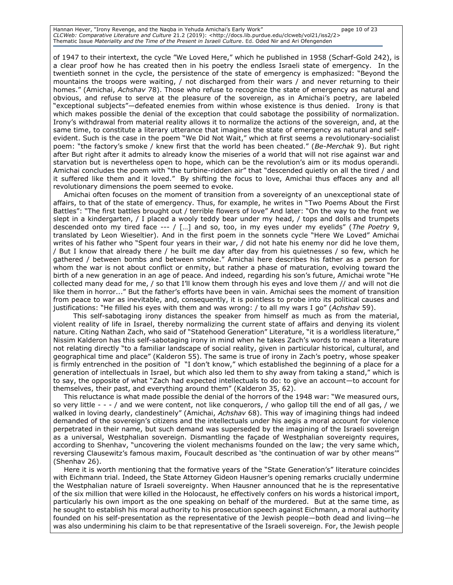Hannan Hever, "Irony Revenge, and the Naqba in Yehuda Amichai's Early Work" page 10 of 23 *CLCWeb: Comparative Literature and Culture* 21.2 (2019): <http://docs.lib.purdue.edu/clcweb/vol21/iss2/2> Thematic Issue *Materiality and the Time of the Present in Israeli Culture*. Ed. Oded Nir and Ari Ofengenden

of 1947 to their intertext, the cycle "We Loved Here," which he published in 1958 (Scharf-Gold 242), is a clear proof how he has created then in his poetry the endless Israeli state of emergency. In the twentieth sonnet in the cycle, the persistence of the state of emergency is emphasized: "Beyond the mountains the troops were waiting, / not discharged from their wars / and never returning to their homes." (Amichai, *Achshav* 78). Those who refuse to recognize the state of emergency as natural and obvious, and refuse to serve at the pleasure of the sovereign, as in Amichai's poetry, are labeled "exceptional subjects"—defeated enemies from within whose existence is thus denied. Irony is that which makes possible the denial of the exception that could sabotage the possibility of normalization. Irony's withdrawal from material reality allows it to normalize the actions of the sovereign, and, at the same time, to constitute a literary utterance that imagines the state of emergency as natural and selfevident. Such is the case in the poem "We Did Not Wait," which at first seems a revolutionary-socialist poem: "the factory's smoke / knew first that the world has been cheated." (*Be-Merchak* 9). But right after But right after it admits to already know the miseries of a world that will not rise against war and starvation but is nevertheless open to hope, which can be the revolution's aim or its modus operandi. Amichai concludes the poem with "the turbine-ridden air" that "descended quietly on all the tired / and it suffered like them and it loved." By shifting the focus to love, Amichai thus effaces any and all revolutionary dimensions the poem seemed to evoke.

Amichai often focuses on the moment of transition from a sovereignty of an unexceptional state of affairs, to that of the state of emergency. Thus, for example, he writes in "Two Poems About the First Battles": "The first battles brought out / terrible flowers of love" And later: "On the way to the front we slept in a kindergarten, / I placed a wooly teddy bear under my head, / tops and dolls and trumpets descended onto my tired face --- / […] and so, too, in my eyes under my eyelids" (*The Poetry* 9, translated by Leon Wieseltier). And in the first poem in the sonnets cycle "Here We Loved" Amichai writes of his father who "Spent four years in their war, / did not hate his enemy nor did he love them, / But I know that already there / he built me day after day from his quietnesses / so few, which he gathered / between bombs and between smoke." Amichai here describes his father as a person for whom the war is not about conflict or enmity, but rather a phase of maturation, evolving toward the birth of a new generation in an age of peace. And indeed, regarding his son's future, Amichai wrote "He collected many dead for me, / so that I'll know them through his eyes and love them // and will not die like them in horror..." But the father's efforts have been in vain. Amichai sees the moment of transition from peace to war as inevitable, and, consequently, it is pointless to probe into its political causes and justifications: "He filled his eyes with them and was wrong: / to all my wars I go" (*Achshav* 59).

 This self-sabotaging irony distances the speaker from himself as much as from the material, violent reality of life in Israel, thereby normalizing the current state of affairs and denying its violent nature. Citing Nathan Zach, who said of "Statehood Generation" Literature, "it is a worldless literature," Nissim Kalderon has this self-sabotaging irony in mind when he takes Zach's words to mean a literature not relating directly "to a familiar landscape of social reality, given in particular historical, cultural, and geographical time and place" (Kalderon 55). The same is true of irony in Zach's poetry, whose speaker is firmly entrenched in the position of "I don't know," which established the beginning of a place for a generation of intellectuals in Israel, but which also led them to shy away from taking a stand," which is to say, the opposite of what "Zach had expected intellectuals to do: to give an account—to account for themselves, their past, and everything around them" (Kalderon 35, 62).

This reluctance is what made possible the denial of the horrors of the 1948 war: "We measured ours, so very little - - - / and we were content, not like conquerors, / who gallop till the end of all gas, / we walked in loving dearly, clandestinely" (Amichai, *Achshav* 68). This way of imagining things had indeed demanded of the sovereign's citizens and the intellectuals under his aegis a moral account for violence perpetrated in their name, but such demand was superseded by the imagining of the Israeli sovereign as a universal, Westphalian sovereign. Dismantling the façade of Westphalian sovereignty requires, according to Shenhav, "uncovering the violent mechanisms founded on the law; the very same which, reversing Clausewitz's famous maxim, Foucault described as 'the continuation of war by other means'" (Shenhav 26).

Here it is worth mentioning that the formative years of the "State Generation's" literature coincides with Eichmann trial. Indeed, the State Attorney Gideon Hausner's opening remarks crucially undermine the Westphalian nature of Israeli sovereignty. When Hausner announced that he is the representative of the six million that were killed in the Holocaust, he effectively confers on his words a historical import, particularly his own import as the one speaking on behalf of the murdered. But at the same time, as he sought to establish his moral authority to his prosecution speech against Eichmann, a moral authority founded on his self-presentation as the representative of the Jewish people—both dead and living—he was also undermining his claim to be that representative of the Israeli sovereign. For, the Jewish people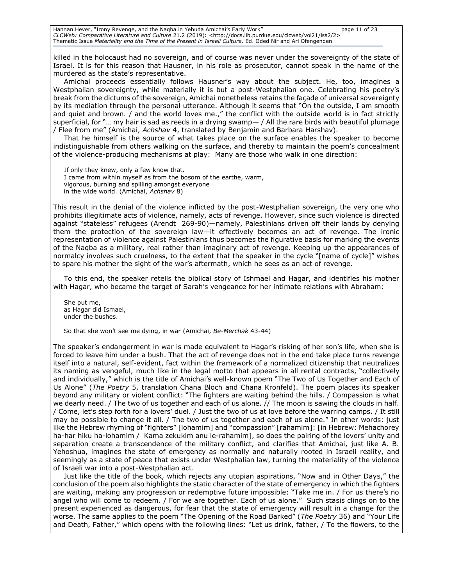Hannan Hever, "Irony Revenge, and the Naqba in Yehuda Amichai's Early Work" page 11 of 23 *CLCWeb: Comparative Literature and Culture* 21.2 (2019): <http://docs.lib.purdue.edu/clcweb/vol21/iss2/2> Thematic Issue *Materiality and the Time of the Present in Israeli Culture*. Ed. Oded Nir and Ari Ofengenden

killed in the holocaust had no sovereign, and of course was never under the sovereignty of the state of Israel. It is for this reason that Hausner, in his role as prosecutor, cannot speak in the name of the murdered as the state's representative.

Amichai proceeds essentially follows Hausner's way about the subject. He, too, imagines a Westphalian sovereignty, while materially it is but a post-Westphalian one. Celebrating his poetry's break from the dictums of the sovereign, Amichai nonetheless retains the façade of universal sovereignty by its mediation through the personal utterance. Although it seems that "On the outside, I am smooth and quiet and brown. / and the world loves me.," the conflict with the outside world is in fact strictly superficial, for "... my hair is sad as reeds in a drying swamp $-$  / All the rare birds with beautiful plumage / Flee from me" (Amichai, *Achshav* 4, translated by Benjamin and Barbara Harshav).

That he himself is the source of what takes place on the surface enables the speaker to become indistinguishable from others walking on the surface, and thereby to maintain the poem's concealment of the violence-producing mechanisms at play: Many are those who walk in one direction:

If only they knew, only a few know that. I came from within myself as from the bosom of the earthe, warm, vigorous, burning and spilling amongst everyone in the wide world. (Amichai, *Achshav* 8)

This result in the denial of the violence inflicted by the post-Westphalian sovereign, the very one who prohibits illegitimate acts of violence, namely, acts of revenge. However, since such violence is directed against "stateless" refugees (Arendt 269-90)—namely, Palestinians driven off their lands by denying them the protection of the sovereign law—it effectively becomes an act of revenge. The ironic representation of violence against Palestinians thus becomes the figurative basis for marking the events of the Naqba as a military, real rather than imaginary act of revenge. Keeping up the appearances of normalcy involves such cruelness, to the extent that the speaker in the cycle "[name of cycle]" wishes to spare his mother the sight of the war's aftermath, which he sees as an act of revenge.

To this end, the speaker retells the biblical story of Ishmael and Hagar, and identifies his mother with Hagar, who became the target of Sarah's vengeance for her intimate relations with Abraham:

She put me, as Hagar did Ismael, under the bushes.

So that she won't see me dying, in war (Amichai, *Be-Merchak* 43-44)

The speaker's endangerment in war is made equivalent to Hagar's risking of her son's life, when she is forced to leave him under a bush. That the act of revenge does not in the end take place turns revenge itself into a natural, self-evident, fact within the framework of a normalized citizenship that neutralizes its naming as vengeful, much like in the legal motto that appears in all rental contracts, "collectively and individually," which is the title of Amichai's well-known poem "The Two of Us Together and Each of Us Alone" (*The Poetry* 5, translation Chana Bloch and Chana Kronfeld). The poem places its speaker beyond any military or violent conflict: "The fighters are waiting behind the hills. / Compassion is what we dearly need. / The two of us together and each of us alone. // The moon is sawing the clouds in half. / Come, let's step forth for a lovers' duel. / Just the two of us at love before the warring camps. / It still may be possible to change it all. / The two of us together and each of us alone." In other words: just like the Hebrew rhyming of "fighters" [lohamim] and "compassion" [rahamim]: [in Hebrew: Mehachorey ha-har hiku ha-lohamim / Kama zekukim anu le-rahamim], so does the pairing of the lovers' unity and separation create a transcendence of the military conflict, and clarifies that Amichai, just like A. B. Yehoshua, imagines the state of emergency as normally and naturally rooted in Israeli reality, and seemingly as a state of peace that exists under Westphalian law, turning the materiality of the violence of Israeli war into a post-Westphalian act.

Just like the title of the book, which rejects any utopian aspirations, "Now and in Other Days," the conclusion of the poem also highlights the static character of the state of emergency in which the fighters are waiting, making any progression or redemptive future impossible: "Take me in. / For us there's no angel who will come to redeem. / For we are together. Each of us alone." Such stasis clings on to the present experienced as dangerous, for fear that the state of emergency will result in a change for the worse. The same applies to the poem "The Opening of the Road Barked" (*The Poetry* 36) and "Your Life and Death, Father," which opens with the following lines: "Let us drink, father, / To the flowers, to the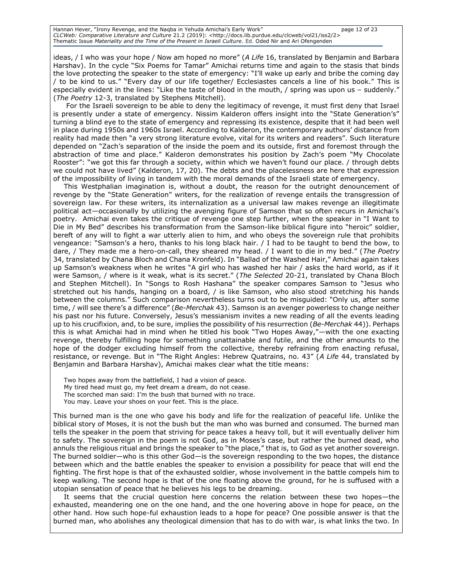Hannan Hever, "Irony Revenge, and the Naqba in Yehuda Amichai's Early Work" page 12 of 23 *CLCWeb: Comparative Literature and Culture* 21.2 (2019): <http://docs.lib.purdue.edu/clcweb/vol21/iss2/2> Thematic Issue *Materiality and the Time of the Present in Israeli Culture*. Ed. Oded Nir and Ari Ofengenden

ideas, / I who was your hope / Now am hoped no more" (*A Life* 16, translated by Benjamin and Barbara Harshav). In the cycle "Six Poems for Tamar" Amichai returns time and again to the stasis that binds the love protecting the speaker to the state of emergency: "I'll wake up early and bribe the coming day / to be kind to us." "Every day of our life together/ Ecclesiastes cancels a line of his book." This is especially evident in the lines: "Like the taste of blood in the mouth, / spring was upon us - suddenly." (*The Poetry* 12-3, translated by Stephens Mitchell).

For the Israeli sovereign to be able to deny the legitimacy of revenge, it must first deny that Israel is presently under a state of emergency. Nissim Kalderon offers insight into the "State Generation's" turning a blind eye to the state of emergency and repressing its existence, despite that it had been well in place during 1950s and 1960s Israel. According to Kalderon, the contemporary authors' distance from reality had made then "a very strong literature evolve, vital for its writers and readers". Such literature depended on "Zach's separation of the inside the poem and its outside, first and foremost through the abstraction of time and place." Kalderon demonstrates his position by Zach's poem "My Chocolate Rooster": "we got this far through a society, within which we haven't found our place. / through debts we could not have lived" (Kalderon, 17, 20). The debts and the placelessness are here that expression of the impossibility of living in tandem with the moral demands of the Israeli state of emergency.

This Westphalian imagination is, without a doubt, the reason for the outright denouncement of revenge by the "State Generation" writers, for the realization of revenge entails the transgression of sovereign law. For these writers, its internalization as a universal law makes revenge an illegitimate political act—occasionally by utilizing the avenging figure of Samson that so often recurs in Amichai's poetry. Amichai even takes the critique of revenge one step further, when the speaker in "I Want to Die in My Bed" describes his transformation from the Samson-like biblical figure into "heroic" soldier, bereft of any will to fight a war utterly alien to him, and who obeys the sovereign rule that prohibits vengeance: "Samson's a hero, thanks to his long black hair. / I had to be taught to bend the bow, to dare, / They made me a hero-on-call, they sheared my head. / I want to die in my bed." (*The Poetry* 34, translated by Chana Bloch and Chana Kronfeld). In "Ballad of the Washed Hair," Amichai again takes up Samson's weakness when he writes "A girl who has washed her hair / asks the hard world, as if it were Samson, / where is it weak, what is its secret." (*The Selected* 20-21, translated by Chana Bloch and Stephen Mitchell). In "Songs to Rosh Hashana" the speaker compares Samson to "Jesus who stretched out his hands, hanging on a board, / is like Samson, who also stood stretching his hands between the columns." Such comparison nevertheless turns out to be misguided: "Only us, after some time, / will see there's a difference" (*Be-Merchak* 43). Samson is an avenger powerless to change neither his past nor his future. Conversely, Jesus's messianism invites a new reading of all the events leading up to his crucifixion, and, to be sure, implies the possibility of his resurrection (*Be-Merchak* 44)). Perhaps this is what Amichai had in mind when he titled his book "Two Hopes Away,"—with the one exacting revenge, thereby fulfilling hope for something unattainable and futile, and the other amounts to the hope of the dodger excluding himself from the collective, thereby refraining from enacting refusal, resistance, or revenge. But in "The Right Angles: Hebrew Quatrains, no. 43" (*A Life* 44, translated by Benjamin and Barbara Harshav), Amichai makes clear what the title means:

Two hopes away from the battlefield, I had a vision of peace. My tired head must go, my feet dream a dream, do not cease. The scorched man said: I'm the bush that burned with no trace. You may. Leave your shoes on your feet. This is the place.

This burned man is the one who gave his body and life for the realization of peaceful life. Unlike the biblical story of Moses, it is not the bush but the man who was burned and consumed. The burned man tells the speaker in the poem that striving for peace takes a heavy toll, but it will eventually deliver him to safety. The sovereign in the poem is not God, as in Moses's case, but rather the burned dead, who annuls the religious ritual and brings the speaker to "the place," that is, to God as yet another sovereign. The burned soldier—who is this other God—is the sovereign responding to the two hopes, the distance between which and the battle enables the speaker to envision a possibility for peace that will end the fighting. The first hope is that of the exhausted soldier, whose involvement in the battle compels him to keep walking. The second hope is that of the one floating above the ground, for he is suffused with a utopian sensation of peace that he believes his legs to be dreaming.

It seems that the crucial question here concerns the relation between these two hopes—the exhausted, meandering one on the one hand, and the one hovering above in hope for peace, on the other hand. How such hope-ful exhaustion leads to a hope for peace? One possible answer is that the burned man, who abolishes any theological dimension that has to do with war, is what links the two. In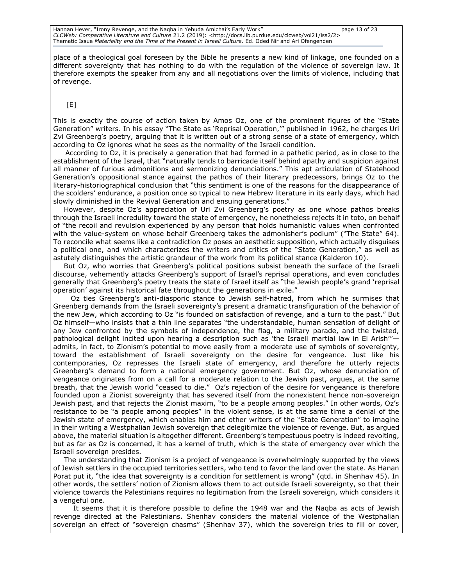Hannan Hever, "Irony Revenge, and the Naqba in Yehuda Amichai's Early Work" page 13 of 23 *CLCWeb: Comparative Literature and Culture* 21.2 (2019): <http://docs.lib.purdue.edu/clcweb/vol21/iss2/2> Thematic Issue *Materiality and the Time of the Present in Israeli Culture*. Ed. Oded Nir and Ari Ofengenden

place of a theological goal foreseen by the Bible he presents a new kind of linkage, one founded on a different sovereignty that has nothing to do with the regulation of the violence of sovereign law. It therefore exempts the speaker from any and all negotiations over the limits of violence, including that of revenge.

#### [E]

This is exactly the course of action taken by Amos Oz, one of the prominent figures of the "State Generation" writers. In his essay "The State as 'Reprisal Operation,'" published in 1962, he charges Uri Zvi Greenberg's poetry, arguing that it is written out of a strong sense of a state of emergency, which according to Oz ignores what he sees as the normality of the Israeli condition.

According to Oz, it is precisely a generation that had formed in a pathetic period, as in close to the establishment of the Israel, that "naturally tends to barricade itself behind apathy and suspicion against all manner of furious admonitions and sermonizing denunciations." This apt articulation of Statehood Generation's oppositional stance against the pathos of their literary predecessors, brings Oz to the literary-historiographical conclusion that "this sentiment is one of the reasons for the disappearance of the scolders' endurance, a position once so typical to new Hebrew literature in its early days, which had slowly diminished in the Revival Generation and ensuing generations."

However, despite Oz's appreciation of Uri Zvi Greenberg's poetry as one whose pathos breaks through the Israeli incredulity toward the state of emergency, he nonetheless rejects it in toto, on behalf of "the recoil and revulsion experienced by any person that holds humanistic values when confronted with the value-system on whose behalf Greenberg takes the admonisher's podium" ("The State" 64). To reconcile what seems like a contradiction Oz poses an aesthetic supposition, which actually disguises a political one, and which characterizes the writers and critics of the "State Generation," as well as astutely distinguishes the artistic grandeur of the work from its political stance (Kalderon 10).

But Oz, who worries that Greenberg's political positions subsist beneath the surface of the Israeli discourse, vehemently attacks Greenberg's support of Israel's reprisal operations, and even concludes generally that Greenberg's poetry treats the state of Israel itself as "the Jewish people's grand 'reprisal operation' against its historical fate throughout the generations in exile."

 Oz ties Greenberg's anti-diasporic stance to Jewish self-hatred, from which he surmises that Greenberg demands from the Israeli sovereignty's present a dramatic transfiguration of the behavior of the new Jew, which according to Oz "is founded on satisfaction of revenge, and a turn to the past." But Oz himself—who insists that a thin line separates "the understandable, human sensation of delight of any Jew confronted by the symbols of independence, the flag, a military parade, and the twisted, pathological delight incited upon hearing a description such as 'the Israeli martial law in El Arish'''admits, in fact, to Zionism's potential to move easily from a moderate use of symbols of sovereignty, toward the establishment of Israeli sovereignty on the desire for vengeance. Just like his contemporaries, Oz represses the Israeli state of emergency, and therefore he utterly rejects Greenberg's demand to form a national emergency government. But Oz, whose denunciation of vengeance originates from on a call for a moderate relation to the Jewish past, argues, at the same breath, that the Jewish world "ceased to die." Oz's rejection of the desire for vengeance is therefore founded upon a Zionist sovereignty that has severed itself from the nonexistent hence non-sovereign Jewish past, and that rejects the Zionist maxim, "to be a people among peoples." In other words, Oz's resistance to be "a people among peoples" in the violent sense, is at the same time a denial of the Jewish state of emergency, which enables him and other writers of the "State Generation" to imagine in their writing a Westphalian Jewish sovereign that delegitimize the violence of revenge. But, as argued above, the material situation is altogether different. Greenberg's tempestuous poetry is indeed revolting, but as far as Oz is concerned, it has a kernel of truth, which is the state of emergency over which the Israeli sovereign presides.

The understanding that Zionism is a project of vengeance is overwhelmingly supported by the views of Jewish settlers in the occupied territories settlers, who tend to favor the land over the state. As Hanan Porat put it, "the idea that sovereignty is a condition for settlement is wrong" (qtd. in Shenhav 45). In other words, the settlers' notion of Zionism allows them to act outside Israeli sovereignty, so that their violence towards the Palestinians requires no legitimation from the Israeli sovereign, which considers it a vengeful one.

 It seems that it is therefore possible to define the 1948 war and the Naqba as acts of Jewish revenge directed at the Palestinians. Shenhav considers the material violence of the Westphalian sovereign an effect of "sovereign chasms" (Shenhav 37), which the sovereign tries to fill or cover,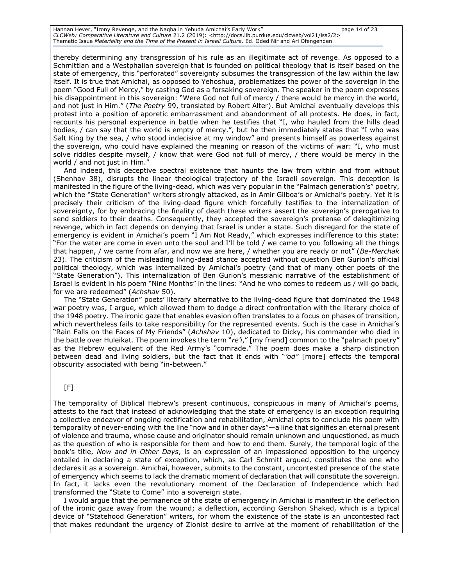Hannan Hever, "Irony Revenge, and the Naqba in Yehuda Amichai's Early Work" page 14 of 23 *CLCWeb: Comparative Literature and Culture* 21.2 (2019): <http://docs.lib.purdue.edu/clcweb/vol21/iss2/2> Thematic Issue *Materiality and the Time of the Present in Israeli Culture*. Ed. Oded Nir and Ari Ofengenden

thereby determining any transgression of his rule as an illegitimate act of revenge. As opposed to a Schmittian and a Westphalian sovereign that is founded on political theology that is itself based on the state of emergency, this "perforated" sovereignty subsumes the transgression of the law within the law itself. It is true that Amichai, as opposed to Yehoshua, problematizes the power of the sovereign in the poem "Good Full of Mercy," by casting God as a forsaking sovereign. The speaker in the poem expresses his disappointment in this sovereign: "Were God not full of mercy / there would be mercy in the world, and not just in Him." (*The Poetry* 99, translated by Robert Alter). But Amichai eventually develops this protest into a position of aporetic embarrassment and abandonment of all protests. He does, in fact, recounts his personal experience in battle when he testifies that "I, who hauled from the hills dead bodies, / can say that the world is empty of mercy.", but he then immediately states that "I who was Salt King by the sea, / who stood indecisive at my window" and presents himself as powerless against the sovereign, who could have explained the meaning or reason of the victims of war: "I, who must solve riddles despite myself, / know that were God not full of mercy, / there would be mercy in the world / and not just in Him."

And indeed, this deceptive spectral existence that haunts the law from within and from without (Shenhav 38), disrupts the linear theological trajectory of the Israeli sovereign. This deception is manifested in the figure of the living-dead, which was very popular in the "Palmach generation's" poetry, which the "State Generation" writers strongly attacked, as in Amir Gilboa's or Amichai's poetry. Yet it is precisely their criticism of the living-dead figure which forcefully testifies to the internalization of sovereignty, for by embracing the finality of death these writers assert the sovereign's prerogative to send soldiers to their deaths. Consequently, they accepted the sovereign's pretense of delegitimizing revenge, which in fact depends on denying that Israel is under a state. Such disregard for the state of emergency is evident in Amichai's poem "I Am Not Ready," which expresses indifference to this state: "For the water are come in even unto the soul and I'll be told / we came to you following all the things that happen, / we came from afar, and now we are here, / whether you are ready or not" (*Be-Merchak* 23). The criticism of the misleading living-dead stance accepted without question Ben Gurion's official political theology, which was internalized by Amichai's poetry (and that of many other poets of the "State Generation"). This internalization of Ben Gurion's messianic narrative of the establishment of Israel is evident in his poem "Nine Months" in the lines: "And he who comes to redeem us / will go back, for we are redeemed" (*Achshav* 50).

The "State Generation" poets' literary alternative to the living-dead figure that dominated the 1948 war poetry was, I argue, which allowed them to dodge a direct confrontation with the literary choice of the 1948 poetry. The ironic gaze that enables evasion often translates to a focus on phases of transition, which nevertheless fails to take responsibility for the represented events. Such is the case in Amichai's "Rain Falls on the Faces of My Friends" (*Achshav* 10), dedicated to Dicky, his commander who died in the battle over Huleikat. The poem invokes the term "*re'i*," [my friend] common to the "palmach poetry" as the Hebrew equivalent of the Red Army's "comrade." The poem does make a sharp distinction between dead and living soldiers, but the fact that it ends with "*'od"* [more] effects the temporal obscurity associated with being "in-between."

### $[F]$

The temporality of Biblical Hebrew's present continuous, conspicuous in many of Amichai's poems, attests to the fact that instead of acknowledging that the state of emergency is an exception requiring a collective endeavor of ongoing rectification and rehabilitation, Amichai opts to conclude his poem with temporality of never-ending with the line "now and in other days"—a line that signifies an eternal present of violence and trauma, whose cause and originator should remain unknown and unquestioned, as much as the question of who is responsible for them and how to end them. Surely, the temporal logic of the book's title, *Now and in Other Days*, is an expression of an impassioned opposition to the urgency entailed in declaring a state of exception, which, as Carl Schmitt argued, constitutes the one who declares it as a sovereign. Amichai, however, submits to the constant, uncontested presence of the state of emergency which seems to lack the dramatic moment of declaration that will constitute the sovereign. In fact, it lacks even the revolutionary moment of the Declaration of Independence which had transformed the "State to Come" into a sovereign state.

I would argue that the permanence of the state of emergency in Amichai is manifest in the deflection of the ironic gaze away from the wound; a deflection, according Gershon Shaked, which is a typical device of "Statehood Generation" writers, for whom the existence of the state is an uncontested fact that makes redundant the urgency of Zionist desire to arrive at the moment of rehabilitation of the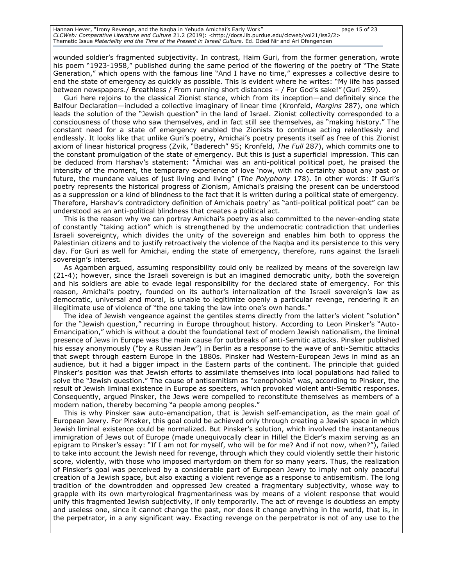Hannan Hever, "Irony Revenge, and the Naqba in Yehuda Amichai's Early Work" page 15 of 23 *CLCWeb: Comparative Literature and Culture* 21.2 (2019): <http://docs.lib.purdue.edu/clcweb/vol21/iss2/2> Thematic Issue *Materiality and the Time of the Present in Israeli Culture*. Ed. Oded Nir and Ari Ofengenden

wounded soldier's fragmented subjectivity. In contrast, Haim Guri, from the former generation, wrote his poem "1923-1958," published during the same period of the flowering of the poetry of "The State" Generation," which opens with the famous line "And I have no time," expresses a collective desire to end the state of emergency as quickly as possible. This is evident where he writes: "My life has passed between newspapers./ Breathless / From running short distances – / For God's sake!" (Guri 259).

Guri here rejoins to the classical Zionist stance, which from its inception—and definitely since the Balfour Declaration—included a collective imaginary of linear time (Kronfeld, *Margins* 287), one which leads the solution of the "Jewish question" in the land of Israel. Zionist collectivity corresponded to a consciousness of those who saw themselves, and in fact still see themselves, as "making history." The constant need for a state of emergency enabled the Zionists to continue acting relentlessly and endlessly. It looks like that unlike Guri's poetry, Amichai's poetry presents itself as free of this Zionist axiom of linear historical progress (Zvik, "Baderech" 95; Kronfeld, *The Full* 287), which commits one to the constant promulgation of the state of emergency. But this is just a superficial impression. This can be deduced from Harshav's statement: "Ämichai was an anti-political political poet, he praised the intensity of the moment, the temporary experience of love 'now, with no certainty about any past or future, the mundane values of just living and living" (*The Polyphony* 178). In other words: If Guri's poetry represents the historical progress of Zionism, Amichai's praising the present can be understood as a suppression or a kind of blindness to the fact that it is written during a political state of emergency. Therefore, Harshav's contradictory definition of Amichais poetry' as "anti-political political poet" can be understood as an anti-political blindness that creates a political act.

This is the reason why we can portray Amichai's poetry as also committed to the never-ending state of constantly "taking action" which is strengthened by the undemocratic contradiction that underlies Israeli sovereignty, which divides the unity of the sovereign and enables him both to oppress the Palestinian citizens and to justify retroactively the violence of the Naqba and its persistence to this very day. For Guri as well for Amichai, ending the state of emergency, therefore, runs against the Israeli sovereign's interest.

As Agamben argued, assuming responsibility could only be realized by means of the sovereign law (21-4); however, since the Israeli sovereign is but an imagined democratic unity, both the sovereign and his soldiers are able to evade legal responsibility for the declared state of emergency. For this reason, Amichai's poetry, founded on its author's internalization of the Israeli sovereign's law as democratic, universal and moral, is unable to legitimize openly a particular revenge, rendering it an illegitimate use of violence of "the one taking the law into one's own hands."

The idea of Jewish vengeance against the gentiles stems directly from the latter's violent "solution" for the "Jewish question," recurring in Europe throughout history. According to Leon Pinsker's "Auto-Emancipation," which is without a doubt the foundational text of modern Jewish nationalism, the liminal presence of Jews in Europe was the main cause for outbreaks of anti-Semitic attacks. Pinsker published his essay anonymously ("by a Russian Jew") in Berlin as a response to the wave of anti-Semitic attacks that swept through eastern Europe in the 1880s. Pinsker had Western-European Jews in mind as an audience, but it had a bigger impact in the Eastern parts of the continent. The principle that guided Pinsker's position was that Jewish efforts to assimilate themselves into local populations had failed to solve the "Jewish question." The cause of antisemitism as "xenophobia" was, according to Pinsker, the result of Jewish liminal existence in Europe as specters, which provoked violent anti-Semitic responses. Consequently, argued Pinsker, the Jews were compelled to reconstitute themselves as members of a modern nation, thereby becoming "a people among peoples."

This is why Pinsker saw auto-emancipation, that is Jewish self-emancipation, as the main goal of European Jewry. For Pinsker, this goal could be achieved only through creating a Jewish space in which Jewish liminal existence could be normalized. But Pinsker's solution, which involved the instantaneous immigration of Jews out of Europe (made unequivocally clear in Hillel the Elder's maxim serving as an epigram to Pinsker's essay: "If I am not for myself, who will be for me? And if not now, when?"), failed to take into account the Jewish need for revenge, through which they could violently settle their historic score, violently, with those who imposed martyrdom on them for so many years. Thus, the realization of Pinsker's goal was perceived by a considerable part of European Jewry to imply not only peaceful creation of a Jewish space, but also exacting a violent revenge as a response to antisemitism. The long tradition of the downtrodden and oppressed Jew created a fragmentary subjectivity, whose way to grapple with its own martyrological fragmentariness was by means of a violent response that would unify this fragmented Jewish subjectivity, if only temporarily. The act of revenge is doubtless an empty and useless one, since it cannot change the past, nor does it change anything in the world, that is, in the perpetrator, in a any significant way. Exacting revenge on the perpetrator is not of any use to the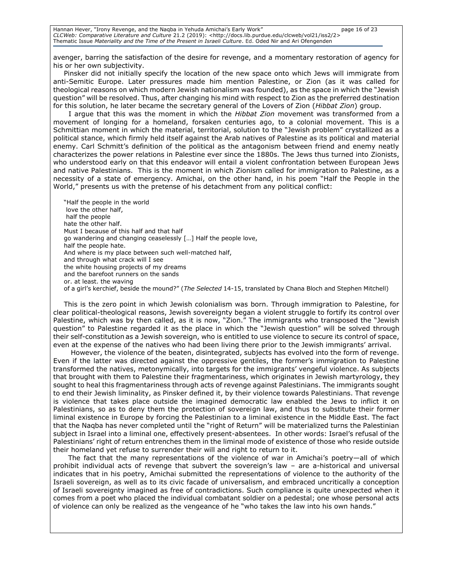Hannan Hever, "Irony Revenge, and the Naqba in Yehuda Amichai's Early Work" page 16 of 23 *CLCWeb: Comparative Literature and Culture* 21.2 (2019): <http://docs.lib.purdue.edu/clcweb/vol21/iss2/2> Thematic Issue *Materiality and the Time of the Present in Israeli Culture*. Ed. Oded Nir and Ari Ofengenden

avenger, barring the satisfaction of the desire for revenge, and a momentary restoration of agency for his or her own subjectivity.

Pinsker did not initially specify the location of the new space onto which Jews will immigrate from anti-Semitic Europe. Later pressures made him mention Palestine, or Zion (as it was called for theological reasons on which modern Jewish nationalism was founded), as the space in which the "Jewish question" will be resolved. Thus, after changing his mind with respect to Zion as the preferred destination for this solution, he later became the secretary general of the Lovers of Zion (*Hibbat Zion*) group.

 I argue that this was the moment in which the *Hibbat Zion* movement was transformed from a movement of longing for a homeland, forsaken centuries ago, to a colonial movement. This is a Schmittian moment in which the material, territorial, solution to the "Jewish problem" crystallized as a political stance, which firmly held itself against the Arab natives of Palestine as its political and material enemy. Carl Schmitt's definition of the political as the antagonism between friend and enemy neatly characterizes the power relations in Palestine ever since the 1880s. The Jews thus turned into Zionists, who understood early on that this endeavor will entail a violent confrontation between European Jews and native Palestinians. This is the moment in which Zionism called for immigration to Palestine, as a necessity of a state of emergency. Amichai, on the other hand, in his poem "Half the People in the World," presents us with the pretense of his detachment from any political conflict:

"Half the people in the world love the other half, half the people hate the other half. Must I because of this half and that half go wandering and changing ceaselessly […] Half the people love, half the people hate. And where is my place between such well-matched half, and through what crack will I see the white housing projects of my dreams and the barefoot runners on the sands or. at least. the waving of a girl's kerchief, beside the mound?" (*The Selected* 14-15, translated by Chana Bloch and Stephen Mitchell)

This is the zero point in which Jewish colonialism was born. Through immigration to Palestine, for clear political-theological reasons, Jewish sovereignty began a violent struggle to fortify its control over Palestine, which was by then called, as it is now, "Zion." The immigrants who transposed the "Jewish question" to Palestine regarded it as the place in which the "Jewish question" will be solved through their self-constitution as a Jewish sovereign, who is entitled to use violence to secure its control of space, even at the expense of the natives who had been living there prior to the Jewish immigrants' arrival.

 However, the violence of the beaten, disintegrated, subjects has evolved into the form of revenge. Even if the latter was directed against the oppressive gentiles, the former's immigration to Palestine transformed the natives, metonymically, into targets for the immigrants' vengeful violence. As subjects that brought with them to Palestine their fragmentariness, which originates in Jewish martyrology, they sought to heal this fragmentariness through acts of revenge against Palestinians. The immigrants sought to end their Jewish liminality, as Pinsker defined it, by their violence towards Palestinians. That revenge is violence that takes place outside the imagined democratic law enabled the Jews to inflict it on Palestinians, so as to deny them the protection of sovereign law, and thus to substitute their former liminal existence in Europe by forcing the Palestinian to a liminal existence in the Middle East. The fact that the Naqba has never completed until the "right of Return" will be materialized turns the Palestinian subject in Israel into a liminal one, effectively present-absentees. In other words: Israel's refusal of the Palestinians' right of return entrenches them in the liminal mode of existence of those who reside outside their homeland yet refuse to surrender their will and right to return to it.

 The fact that the many representations of the violence of war in Amichai's poetry—all of which prohibit individual acts of revenge that subvert the sovereign's law – are a-historical and universal indicates that in his poetry, Amichai submitted the representations of violence to the authority of the Israeli sovereign, as well as to its civic facade of universalism, and embraced uncritically a conception of Israeli sovereignty imagined as free of contradictions. Such compliance is quite unexpected when it comes from a poet who placed the individual combatant soldier on a pedestal; one whose personal acts of violence can only be realized as the vengeance of he "who takes the law into his own hands."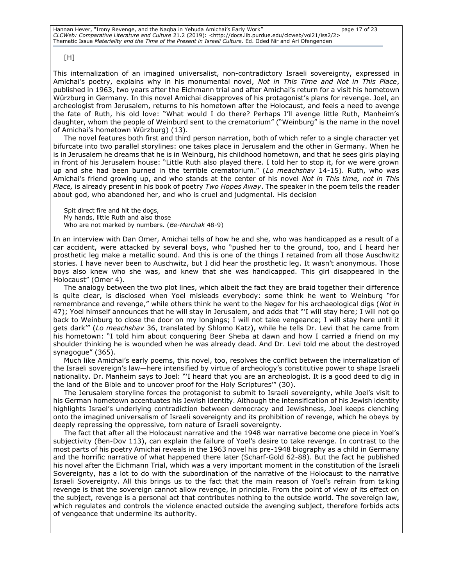### [H]

This internalization of an imagined universalist, non-contradictory Israeli sovereignty, expressed in Amichai's poetry, explains why in his monumental novel, *Not in This Time and Not in This Place*, published in 1963, two years after the Eichmann trial and after Amichai's return for a visit his hometown Würzburg in Germany. In this novel Amichai disapproves of his protagonist's plans for revenge. Joel, an archeologist from Jerusalem, returns to his hometown after the Holocaust, and feels a need to avenge the fate of Ruth, his old love: "What would I do there? Perhaps I'll avenge little Ruth, Manheim's daughter, whom the people of Weinburd sent to the crematorium" ("Weinburg" is the name in the novel of Amichai's hometown Würzburg) (13).

The novel features both first and third person narration, both of which refer to a single character yet bifurcate into two parallel storylines: one takes place in Jerusalem and the other in Germany. When he is in Jerusalem he dreams that he is in Weinburg, his childhood hometown, and that he sees girls playing in front of his Jerusalem house: "Little Ruth also played there. I told her to stop it, for we were grown up and she had been burned in the terrible crematorium." (*Lo meachshav* 14-15). Ruth, who was Amichai's friend growing up, and who stands at the center of his novel *Not in This time, not in This Place,* is already present in his book of poetry *Two Hopes Away*. The speaker in the poem tells the reader about god, who abandoned her, and who is cruel and judgmental. His decision

Spit direct fire and hit the dogs, My hands, little Ruth and also those Who are not marked by numbers. (*Be-Merchak* 48-9)

In an interview with Dan Omer, Amichai tells of how he and she, who was handicapped as a result of a car accident, were attacked by several boys, who "pushed her to the ground, too, and I heard her prosthetic leg make a metallic sound. And this is one of the things I retained from all those Auschwitz stories. I have never been to Auschwitz, but I did hear the prosthetic leg. It wasn't anonymous. Those boys also knew who she was, and knew that she was handicapped. This girl disappeared in the Holocaust" (Omer 4).

The analogy between the two plot lines, which albeit the fact they are braid together their difference is quite clear, is disclosed when Yoel misleads everybody: some think he went to Weinburg "for remembrance and revenge," while others think he went to the Negev for his archaeological digs (*Not in* 47); Yoel himself announces that he will stay in Jerusalem, and adds that "'I will stay here; I will not go back to Weinburg to close the door on my longings; I will not take vengeance; I will stay here until it gets dark'" (*Lo meachshav* 36, translated by Shlomo Katz), while he tells Dr. Levi that he came from his hometown: "I told him about conquering Beer Sheba at dawn and how I carried a friend on my shoulder thinking he is wounded when he was already dead. And Dr. Levi told me about the destroyed synagogue" (365).

Much like Amichai's early poems, this novel, too, resolves the conflict between the internalization of the Israeli sovereign's law—here intensified by virtue of archeology's constitutive power to shape Israeli nationality. Dr. Manheim says to Joel: "'I heard that you are an archeologist. It is a good deed to dig in the land of the Bible and to uncover proof for the Holy Scriptures'" (30).

The Jerusalem storyline forces the protagonist to submit to Israeli sovereignty, while Joel's visit to his German hometown accentuates his Jewish identity. Although the intensification of his Jewish identity highlights Israel's underlying contradiction between democracy and Jewishness, Joel keeps clenching onto the imagined universalism of Israeli sovereignty and its prohibition of revenge, which he obeys by deeply repressing the oppressive, torn nature of Israeli sovereignty.

The fact that after all the Holocaust narrative and the 1948 war narrative become one piece in Yoel's subjectivity (Ben-Dov 113), can explain the failure of Yoel's desire to take revenge. In contrast to the most parts of his poetry Amichai reveals in the 1963 novel his pre-1948 biography as a child in Germany and the horrific narrative of what happened there later (Scharf-Gold 62-88). But the fact he published his novel after the Eichmann Trial, which was a very important moment in the constitution of the Israeli Sovereignty, has a lot to do with the subordination of the narrative of the Holocaust to the narrative Israeli Sovereignty. All this brings us to the fact that the main reason of Yoel's refrain from taking revenge is that the sovereign cannot allow revenge, in principle. From the point of view of its effect on the subject, revenge is a personal act that contributes nothing to the outside world. The sovereign law, which regulates and controls the violence enacted outside the avenging subject, therefore forbids acts of vengeance that undermine its authority.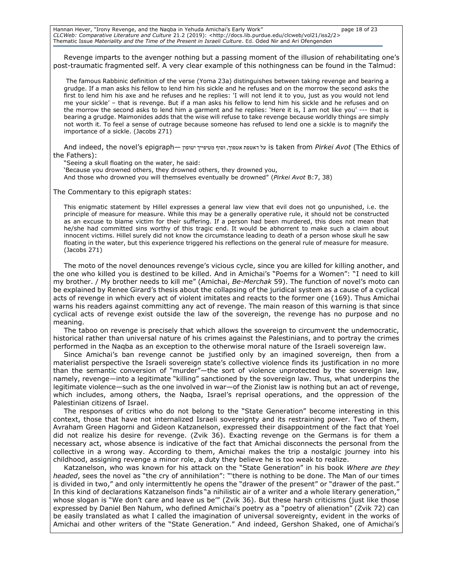Hannan Hever, "Irony Revenge, and the Naqba in Yehuda Amichai's Early Work" page 18 of 23 *CLCWeb: Comparative Literature and Culture* 21.2 (2019): <http://docs.lib.purdue.edu/clcweb/vol21/iss2/2> Thematic Issue *Materiality and the Time of the Present in Israeli Culture*. Ed. Oded Nir and Ari Ofengenden

Revenge imparts to the avenger nothing but a passing moment of the illusion of rehabilitating one's post-traumatic fragmented self. A very clear example of this nothingness can be found in the Talmud:

The famous Rabbinic definition of the verse (Yoma 23a) distinguishes between taking revenge and bearing a grudge. If a man asks his fellow to lend him his sickle and he refuses and on the morrow the second asks the first to lend him his axe and he refuses and he replies: 'I will not lend it to you, just as you would not lend me your sickle' – that is revenge. But if a man asks his fellow to lend him his sickle and he refuses and on the morrow the second asks to lend him a garment and he replies: 'Here it is, I am not like you' --- that is bearing a grudge. Maimonides adds that the wise will refuse to take revenge because worldly things are simply not worth it. To feel a sense of outrage because someone has refused to lend one a sickle is to magnify the importance of a sickle. (Jacobs 271)

And indeed, the novel's epigraph— יטופון מטיפייך וסוף ,אטפוך דאטפת על is taken from *Pirkei Avot* (The Ethics of the Fathers):

"Seeing a skull floating on the water, he said: 'Because you drowned others, they drowned others, they drowned you, And those who drowned you will themselves eventually be drowned" (*Pirkei Avot* B:7, 38)

The Commentary to this epigraph states:

This enigmatic statement by Hillel expresses a general law view that evil does not go unpunished, i.e. the principle of measure for measure. While this may be a generally operative rule, it should not be constructed as an excuse to blame victim for their suffering. If a person had been murdered, this does not mean that he/she had committed sins worthy of this tragic end. It would be abhorrent to make such a claim about innocent victims. Hillel surely did not know the circumstance leading to death of a person whose skull he saw floating in the water, but this experience triggered his reflections on the general rule of measure for measure. (Jacobs 271)

The moto of the novel denounces revenge's vicious cycle, since you are killed for killing another, and the one who killed you is destined to be killed. And in Amichai's "Poems for a Women": "I need to kill my brother. / My brother needs to kill me" (Amichai, *Be-Merchak* 59). The function of novel's moto can be explained by Renee Girard's thesis about the collapsing of the juridical system as a cause of a cyclical acts of revenge in which every act of violent imitates and reacts to the former one (169). Thus Amichai warns his readers against committing any act of revenge. The main reason of this warning is that since cyclical acts of revenge exist outside the law of the sovereign, the revenge has no purpose and no meaning.

The taboo on revenge is precisely that which allows the sovereign to circumvent the undemocratic, historical rather than universal nature of his crimes against the Palestinians, and to portray the crimes performed in the Naqba as an exception to the otherwise moral nature of the Israeli sovereign law.

Since Amichai's ban revenge cannot be justified only by an imagined sovereign, then from a materialist perspective the Israeli sovereign state's collective violence finds its justification in no more than the semantic conversion of "murder"—the sort of violence unprotected by the sovereign law, namely, revenge—into a legitimate "killing" sanctioned by the sovereign law. Thus, what underpins the legitimate violence—such as the one involved in war—of the Zionist law is nothing but an act of revenge, which includes, among others, the Naqba, Israel's reprisal operations, and the oppression of the Palestinian citizens of Israel.

The responses of critics who do not belong to the "State Generation" become interesting in this context, those that have not internalized Israeli sovereignty and its restraining power. Two of them, Avraham Green Hagorni and Gideon Katzanelson, expressed their disappointment of the fact that Yoel did not realize his desire for revenge. (Zvik 36). Exacting revenge on the Germans is for them a necessary act, whose absence is indicative of the fact that Amichai disconnects the personal from the collective in a wrong way. According to them, Amichai makes the trip a nostalgic journey into his childhood, assigning revenge a minor role, a duty they believe he is too weak to realize.

Katzanelson, who was known for his attack on the "State Generation" in his book *Where are they headed*, sees the novel as "the cry of annihilation": "'there is nothing to be done. The Man of our times is divided in two," and only intermittently he opens the "drawer of the present" or "drawer of the past." In this kind of declarations Katzanelson finds "a nihilistic air of a writer and a whole literary generation," whose slogan is "We don't care and leave us be'" (Zvik 36). But these harsh criticisms (just like those expressed by Daniel Ben Nahum, who defined Amichai's poetry as a "poetry of alienation" (Zvik 72) can be easily translated as what I called the imagination of universal sovereignty, evident in the works of Amichai and other writers of the "State Generation." And indeed, Gershon Shaked, one of Amichai's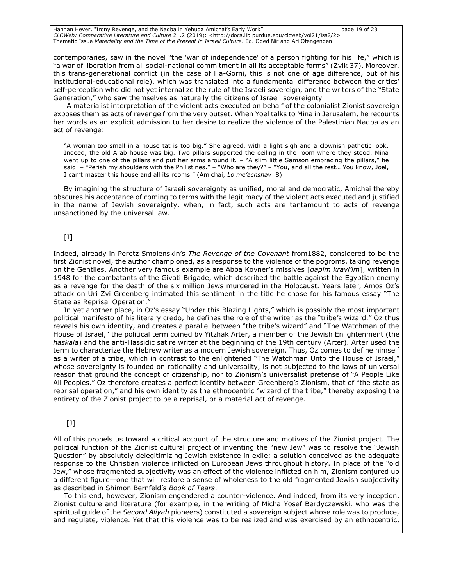Hannan Hever, "Irony Revenge, and the Naqba in Yehuda Amichai's Early Work" page 19 of 23 *CLCWeb: Comparative Literature and Culture* 21.2 (2019): <http://docs.lib.purdue.edu/clcweb/vol21/iss2/2> Thematic Issue *Materiality and the Time of the Present in Israeli Culture*. Ed. Oded Nir and Ari Ofengenden

contemporaries, saw in the novel "the 'war of independence' of a person fighting for his life," which is "a war of liberation from all social-national commitment in all its acceptable forms" (Zvik 37). Moreover, this trans-generational conflict (in the case of Ha-Gorni, this is not one of age difference, but of his institutional-educational role), which was translated into a fundamental difference between the critics' self-perception who did not yet internalize the rule of the Israeli sovereign, and the writers of the "State Generation," who saw themselves as naturally the citizens of Israeli sovereignty

 A materialist interpretation of the violent acts executed on behalf of the colonialist Zionist sovereign exposes them as acts of revenge from the very outset. When Yoel talks to Mina in Jerusalem, he recounts her words as an explicit admission to her desire to realize the violence of the Palestinian Naqba as an act of revenge:

"A woman too small in a house tat is too big." She agreed, with a light sigh and a clownish pathetic look. Indeed, the old Arab house was big. Two pillars supported the ceiling in the room where they stood. Mina went up to one of the pillars and put her arms around it. – "A slim little Samson embracing the pillars," he said. – "Perish my shoulders with the Philistines." – "Who are they?" – "You, and all the rest… You know, Joel, I can't master this house and all its rooms." (Amichai, *Lo me'achshav* 8)

By imagining the structure of Israeli sovereignty as unified, moral and democratic, Amichai thereby obscures his acceptance of coming to terms with the legitimacy of the violent acts executed and justified in the name of Jewish sovereignty, when, in fact, such acts are tantamount to acts of revenge unsanctioned by the universal law.

### $\lceil$ I]

Indeed, already in Peretz Smolenskin's *The Revenge of the Covenant* from1882, considered to be the first Zionist novel, the author championed, as a response to the violence of the pogroms, taking revenge on the Gentiles. Another very famous example are Abba Kovner's missives [*dapim kravi'im*], written in 1948 for the combatants of the Givati Brigade, which described the battle against the Egyptian enemy as a revenge for the death of the six million Jews murdered in the Holocaust. Years later, Amos Oz's attack on Uri Zvi Greenberg intimated this sentiment in the title he chose for his famous essay "The State as Reprisal Operation."

In yet another place, in Oz's essay "Under this Blazing Lights," which is possibly the most important political manifesto of his literary credo, he defines the role of the writer as the "tribe's wizard." Oz thus reveals his own identity, and creates a parallel between "the tribe's wizard" and "The Watchman of the House of Israel," the political term coined by Yitzhak Arter, a member of the Jewish Enlightenment (the *haskala*) and the anti-Hassidic satire writer at the beginning of the 19th century (Arter). Arter used the term to characterize the Hebrew writer as a modern Jewish sovereign. Thus, Oz comes to define himself as a writer of a tribe, which in contrast to the enlightened "The Watchman Unto the House of Israel," whose sovereignty is founded on rationality and universality, is not subjected to the laws of universal reason that ground the concept of citizenship, nor to Zionism's universalist pretense of "A People Like All Peoples." Oz therefore creates a perfect identity between Greenberg's Zionism, that of "the state as reprisal operation," and his own identity as the ethnocentric "wizard of the tribe," thereby exposing the entirety of the Zionist project to be a reprisal, or a material act of revenge.

### $[J]$

All of this propels us toward a critical account of the structure and motives of the Zionist project. The political function of the Zionist cultural project of inventing the "new Jew" was to resolve the "Jewish Question" by absolutely delegitimizing Jewish existence in exile; a solution conceived as the adequate response to the Christian violence inflicted on European Jews throughout history. In place of the "old Jew," whose fragmented subjectivity was an effect of the violence inflicted on him, Zionism conjured up a different figure—one that will restore a sense of wholeness to the old fragmented Jewish subjectivity as described in Shimon Bernfeld's *Book of Tears*.

To this end, however, Zionism engendered a counter-violence. And indeed, from its very inception, Zionist culture and literature (for example, in the writing of Micha Yosef Berdyczewski, who was the spiritual guide of the *Second Aliyah* pioneers) constituted a sovereign subject whose role was to produce, and regulate, violence. Yet that this violence was to be realized and was exercised by an ethnocentric,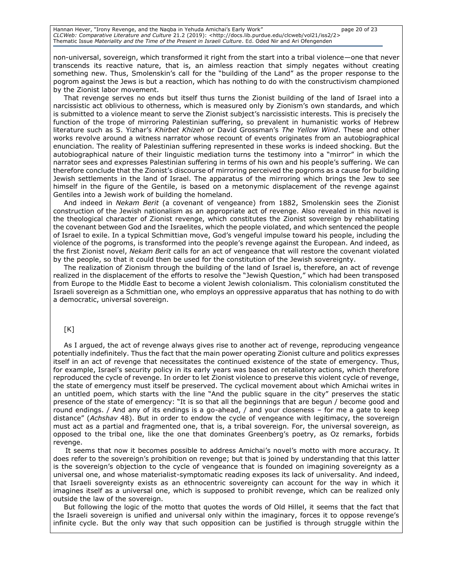Hannan Hever, "Irony Revenge, and the Naqba in Yehuda Amichai's Early Work" page 20 of 23 *CLCWeb: Comparative Literature and Culture* 21.2 (2019): <http://docs.lib.purdue.edu/clcweb/vol21/iss2/2> Thematic Issue *Materiality and the Time of the Present in Israeli Culture*. Ed. Oded Nir and Ari Ofengenden

non-universal, sovereign, which transformed it right from the start into a tribal violence—one that never transcends its reactive nature, that is, an aimless reaction that simply negates without creating something new. Thus, Smolenskin's call for the "building of the Land" as the proper response to the pogrom against the Jews is but a reaction, which has nothing to do with the constructivism championed by the Zionist labor movement.

That revenge serves no ends but itself thus turns the Zionist building of the land of Israel into a narcissistic act oblivious to otherness, which is measured only by Zionism's own standards, and which is submitted to a violence meant to serve the Zionist subject's narcissistic interests. This is precisely the function of the trope of mirroring Palestinian suffering, so prevalent in humanistic works of Hebrew literature such as S. Yizhar's *Khirbet Khizeh* or David Grossman's *The Yellow Wind*. These and other works revolve around a witness narrator whose recount of events originates from an autobiographical enunciation. The reality of Palestinian suffering represented in these works is indeed shocking. But the autobiographical nature of their linguistic mediation turns the testimony into a "mirror" in which the narrator sees and expresses Palestinian suffering in terms of his own and his people's suffering. We can therefore conclude that the Zionist's discourse of mirroring perceived the pogroms as a cause for building Jewish settlements in the land of Israel. The apparatus of the mirroring which brings the Jew to see himself in the figure of the Gentile, is based on a metonymic displacement of the revenge against Gentiles into a Jewish work of building the homeland.

And indeed in *Nekam Berit* (a covenant of vengeance) from 1882, Smolenskin sees the Zionist construction of the Jewish nationalism as an appropriate act of revenge. Also revealed in this novel is the theological character of Zionist revenge, which constitutes the Zionist sovereign by rehabilitating the covenant between God and the Israelites, which the people violated, and which sentenced the people of Israel to exile. In a typical Schmittian move, God's vengeful impulse toward his people, including the violence of the pogroms, is transformed into the people's revenge against the European. And indeed, as the first Zionist novel, *Nekam Berit* calls for an act of vengeance that will restore the covenant violated by the people, so that it could then be used for the constitution of the Jewish sovereignty.

The realization of Zionism through the building of the land of Israel is, therefore, an act of revenge realized in the displacement of the efforts to resolve the "Jewish Question," which had been transposed from Europe to the Middle East to become a violent Jewish colonialism. This colonialism constituted the Israeli sovereign as a Schmittian one, who employs an oppressive apparatus that has nothing to do with a democratic, universal sovereign.

### [K]

As I argued, the act of revenge always gives rise to another act of revenge, reproducing vengeance potentially indefinitely. Thus the fact that the main power operating Zionist culture and politics expresses itself in an act of revenge that necessitates the continued existence of the state of emergency. Thus, for example, Israel's security policy in its early years was based on retaliatory actions, which therefore reproduced the cycle of revenge. In order to let Zionist violence to preserve this violent cycle of revenge, the state of emergency must itself be preserved. The cyclical movement about which Amichai writes in an untitled poem, which starts with the line "And the public square in the city" preserves the static presence of the state of emergency: "It is so that all the beginnings that are begun / become good and round endings. / And any of its endings is a go-ahead, / and your closeness – for me a gate to keep distance" (*Achshav* 48). But in order to endow the cycle of vengeance with legitimacy, the sovereign must act as a partial and fragmented one, that is, a tribal sovereign. For, the universal sovereign, as opposed to the tribal one, like the one that dominates Greenberg's poetry, as Oz remarks, forbids revenge.

It seems that now it becomes possible to address Amichai's novel's motto with more accuracy. It does refer to the sovereign's prohibition on revenge; but that is joined by understanding that this latter is the sovereign's objection to the cycle of vengeance that is founded on imagining sovereignty as a universal one, and whose materialist-symptomatic reading exposes its lack of universality. And indeed, that Israeli sovereignty exists as an ethnocentric sovereignty can account for the way in which it imagines itself as a universal one, which is supposed to prohibit revenge, which can be realized only outside the law of the sovereign.

But following the logic of the motto that quotes the words of Old Hillel, it seems that the fact that the Israeli sovereign is unified and universal only within the imaginary, forces it to oppose revenge's infinite cycle. But the only way that such opposition can be justified is through struggle within the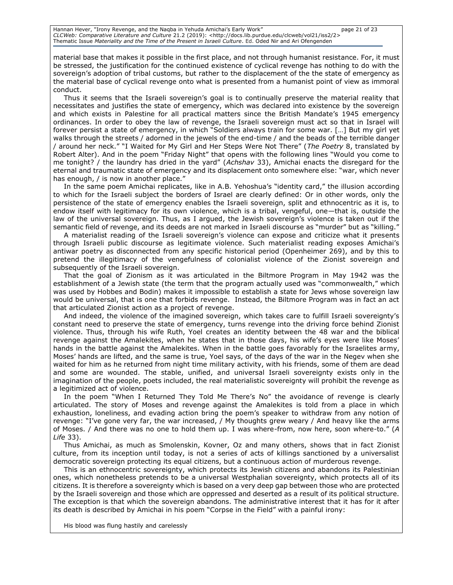Hannan Hever, "Irony Revenge, and the Naqba in Yehuda Amichai's Early Work" page 21 of 23 *CLCWeb: Comparative Literature and Culture* 21.2 (2019): <http://docs.lib.purdue.edu/clcweb/vol21/iss2/2> Thematic Issue *Materiality and the Time of the Present in Israeli Culture*. Ed. Oded Nir and Ari Ofengenden

material base that makes it possible in the first place, and not through humanist resistance. For, it must be stressed, the justification for the continued existence of cyclical revenge has nothing to do with the sovereign's adoption of tribal customs, but rather to the displacement of the the state of emergency as the material base of cyclical revenge onto what is presented from a humanist point of view as immoral conduct.

Thus it seems that the Israeli sovereign's goal is to continually preserve the material reality that necessitates and justifies the state of emergency, which was declared into existence by the sovereign and which exists in Palestine for all practical matters since the British Mandate's 1945 emergency ordinances. In order to obey the law of revenge, the Israeli sovereign must act so that in Israel will forever persist a state of emergency, in which "Soldiers always train for some war. […] But my girl yet walks through the streets / adorned in the jewels of the end-time / and the beads of the terrible danger / around her neck." "I Waited for My Girl and Her Steps Were Not There" (*The Poetry* 8, translated by Robert Alter). And in the poem "Friday Night" that opens with the following lines "Would you come to me tonight? / the laundry has dried in the yard" (*Achshav* 33), Amichai enacts the disregard for the eternal and traumatic state of emergency and its displacement onto somewhere else: "war, which never has enough, / is now in another place."

In the same poem Amichai replicates, like in A.B. Yehoshua's "identity card," the illusion according to which for the Israeli subject the borders of Israel are clearly defined: Or in other words, only the persistence of the state of emergency enables the Israeli sovereign, split and ethnocentric as it is, to endow itself with legitimacy for its own violence, which is a tribal, vengeful, one—that is, outside the law of the universal sovereign. Thus, as I argued, the Jewish sovereign's violence is taken out if the semantic field of revenge, and its deeds are not marked in Israeli discourse as "murder" but as "killing."

A materialist reading of the Israeli sovereign's violence can expose and criticize what it presents through Israeli public discourse as legitimate violence. Such materialist reading exposes Amichai's antiwar poetry as disconnected from any specific historical period (Openheimer 269), and by this to pretend the illegitimacy of the vengefulness of colonialist violence of the Zionist sovereign and subsequently of the Israeli sovereign.

That the goal of Zionism as it was articulated in the Biltmore Program in May 1942 was the establishment of a Jewish state (the term that the program actually used was "commonwealth," which was used by Hobbes and Bodin) makes it impossible to establish a state for Jews whose sovereign law would be universal, that is one that forbids revenge. Instead, the Biltmore Program was in fact an act that articulated Zionist action as a project of revenge.

And indeed, the violence of the imagined sovereign, which takes care to fulfill Israeli sovereignty's constant need to preserve the state of emergency, turns revenge into the driving force behind Zionist violence. Thus, through his wife Ruth, Yoel creates an identity between the 48 war and the biblical revenge against the Amalekites, when he states that in those days, his wife's eyes were like Moses' hands in the battle against the Amalekites. When in the battle goes favorably for the Israelites army, Moses' hands are lifted, and the same is true, Yoel says, of the days of the war in the Negev when she waited for him as he returned from night time military activity, with his friends, some of them are dead and some are wounded. The stable, unified, and universal Israeli sovereignty exists only in the imagination of the people, poets included, the real materialistic sovereignty will prohibit the revenge as a legitimized act of violence.

In the poem "When I Returned They Told Me There's No" the avoidance of revenge is clearly articulated. The story of Moses and revenge against the Amalekites is told from a place in which exhaustion, loneliness, and evading action bring the poem's speaker to withdraw from any notion of revenge: "I've gone very far, the war increased, / My thoughts grew weary / And heavy like the arms of Moses. / And there was no one to hold them up. I was where-from, now here, soon where-to." (*A Life* 33).

Thus Amichai, as much as Smolenskin, Kovner, Oz and many others, shows that in fact Zionist culture, from its inception until today, is not a series of acts of killings sanctioned by a universalist democratic sovereign protecting its equal citizens, but a continuous action of murderous revenge.

This is an ethnocentric sovereignty, which protects its Jewish citizens and abandons its Palestinian ones, which nonetheless pretends to be a universal Westphalian sovereignty, which protects all of its citizens. It is therefore a sovereignty which is based on a very deep gap between those who are protected by the Israeli sovereign and those which are oppressed and deserted as a result of its political structure. The exception is that which the sovereign abandons. The administrative interest that it has for it after its death is described by Amichai in his poem "Corpse in the Field" with a painful irony:

His blood was flung hastily and carelessly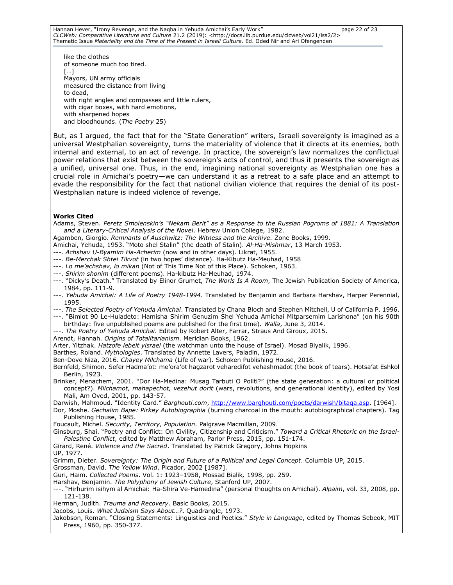like the clothes of someone much too tired. […] Mayors, UN army officials measured the distance from living to dead, with right angles and compasses and little rulers, with cigar boxes, with hard emotions, with sharpened hopes and bloodhounds. (*The Poetry* 25)

But, as I argued, the fact that for the "State Generation" writers, Israeli sovereignty is imagined as a universal Westphalian sovereignty, turns the materiality of violence that it directs at its enemies, both internal and external, to an act of revenge. In practice, the sovereign's law normalizes the conflictual power relations that exist between the sovereign's acts of control, and thus it presents the sovereign as a unified, universal one. Thus, in the end, imagining national sovereignty as Westphalian one has a crucial role in Amichai's poetry—we can understand it as a retreat to a safe place and an attempt to evade the responsibility for the fact that national civilian violence that requires the denial of its post-Westphalian nature is indeed violence of revenge.

#### **Works Cited**

Adams, Steven. *Peretz Smolenskin's "Nekam Berit" as a Response to the Russian Pogroms of 1881: A Translation and a Literary-Critical Analysis of the Novel*. Hebrew Union College, 1982.

- Agamben, Giorgio. *Remnants of Auschwitz: The Witness and the Archive.* Zone Books, 1999.
- Amichai, Yehuda, 1953. "Moto shel Stalin" (the death of Stalin). *Al-Ha-Mishmar*, 13 March 1953.
- ---. *Achshav U-Byamim Ha-Acherim* (now and in other days). Likrat, 1955.
- ---. *Be-Merchak Shtei Tikvot* (in two hopes' distance). Ha-Kibutz Ha-Meuhad, 1958
- ---. *Lo me'achshav, lo mikan* (Not of This Time Not of this Place). Schoken, 1963.
- ---. *Shirim shonim* (different poems). Ha-kibutz Ha-Meuhad, 1974.
- ---. "Dicky's Death." Translated by Elinor Grumet, *The Worls Is A Room*, The Jewish Publication Society of America, 1984, pp. 111-9.
- ---. *Yehuda Amichai: A Life of Poetry 1948-1994*. Translated by Benjamin and Barbara Harshav, Harper Perennial, 1995.
- ---. *The Selected Poetry of Yehuda Amichai*. Translated by Chana Bloch and Stephen Mitchell, U of California P. 1996. ---. "Bimlot 90 Le-Huladeto: Hamisha Shirim Genuzim Shel Yehuda Amichai Mitparsemim Larishona" (on his 90th
- birthday: five unpublished poems are published for the first time). *Walla*, June 3, 2014.
- ---. *The Poetry of Yehuda Amichai*. Edited by Robert Alter, Farrar, Straus And Giroux, 2015.
- Arendt, Hannah. *Origins of Totalitarianism*. Meridian Books, 1962.
- Arter, Yitzhak. *Hatzofe lebeit yisrael* (the watchman unto the house of Israel). Mosad Biyalik, 1996.
- Barthes, Roland. *Mythologies*. Translated by Annette Lavers, Paladin, 1972.

Ben-Dove Niza, 2016. *Chayey Milchama* (Life of war). Schoken Publishing House, 2016.

- Bernfeld, Shimon. Sefer Hadma'ot: me'ora'ot hagzarot veharedifot vehashmadot (the book of tears). Hotsa'at Eshkol Berlin, 1923.
- Brinker, Menachem, 2001. "Dor Ha-Medina: Musag Tarbuti O Politi?" (the state generation: a cultural or political concept?). *Milchamot, mahapechot, vezehut dorit* (wars, revolutions, and generational identity), edited by Yosi Mali, Am Oved, 2001, pp. 143-57.

Darwish, Mahmoud. "Identity Card." *Barghouti.com*, [http://www.barghouti.com/poets/darwish/bitaqa.asp.](http://www.barghouti.com/poets/darwish/bitaqa.asp) [1964].

Dor, Moshe. *Gechalim Bape: Pirkey Autobiographia* (burning charcoal in the mouth: autobiographical chapters). Tag Publishing House, 1985.

- Foucault, Michel. *Security, Territory, Population*. Palgrave Macmillan, 2009.
- Ginsburg, Shai. "Poetry and Conflict: On Civility, Citizenship and Criticism." *Toward a Critical Rhetoric on the Israel-Palestine Conflict*, edited by Matthew Abraham, Parlor Press, 2015, pp. 151-174.
- Girard, René. *Violence and the Sacred*. Translated by Patrick Gregory, Johns Hopkins
- UP, 1977.

Grimm, Dieter. *Sovereignty: The Origin and Future of a Political and Legal Concept*. Columbia UP, 2015.

Grossman, David. *The Yellow Wind*. Picador, 2002 [1987].

Guri, Haim. *Collected Poems*. Vol. 1: 1923–1958, Mossad Bialik*,* 1998, pp. 259.

- Harshav, Benjamin. *The Polyphony of Jewish Culture*, Stanford UP, 2007.
- ---. "Hirhurim isihym al Amichai: Ha-Shira Ve-Hamedina" (personal thoughts on Amichai). *Alpaim*, vol. 33, 2008, pp. 121-138.
- Herman, Judith. *Trauma and Recovery*. Basic Books, 2015.

Jacobs, Louis*. What Judaism Says About…?*. Quadrangle, 1973.

Jakobson, Roman. "Closing Statements: Linguistics and Poetics." *Style in Language*, edited by Thomas Sebeok, MIT Press, 1960, pp. 350-377.